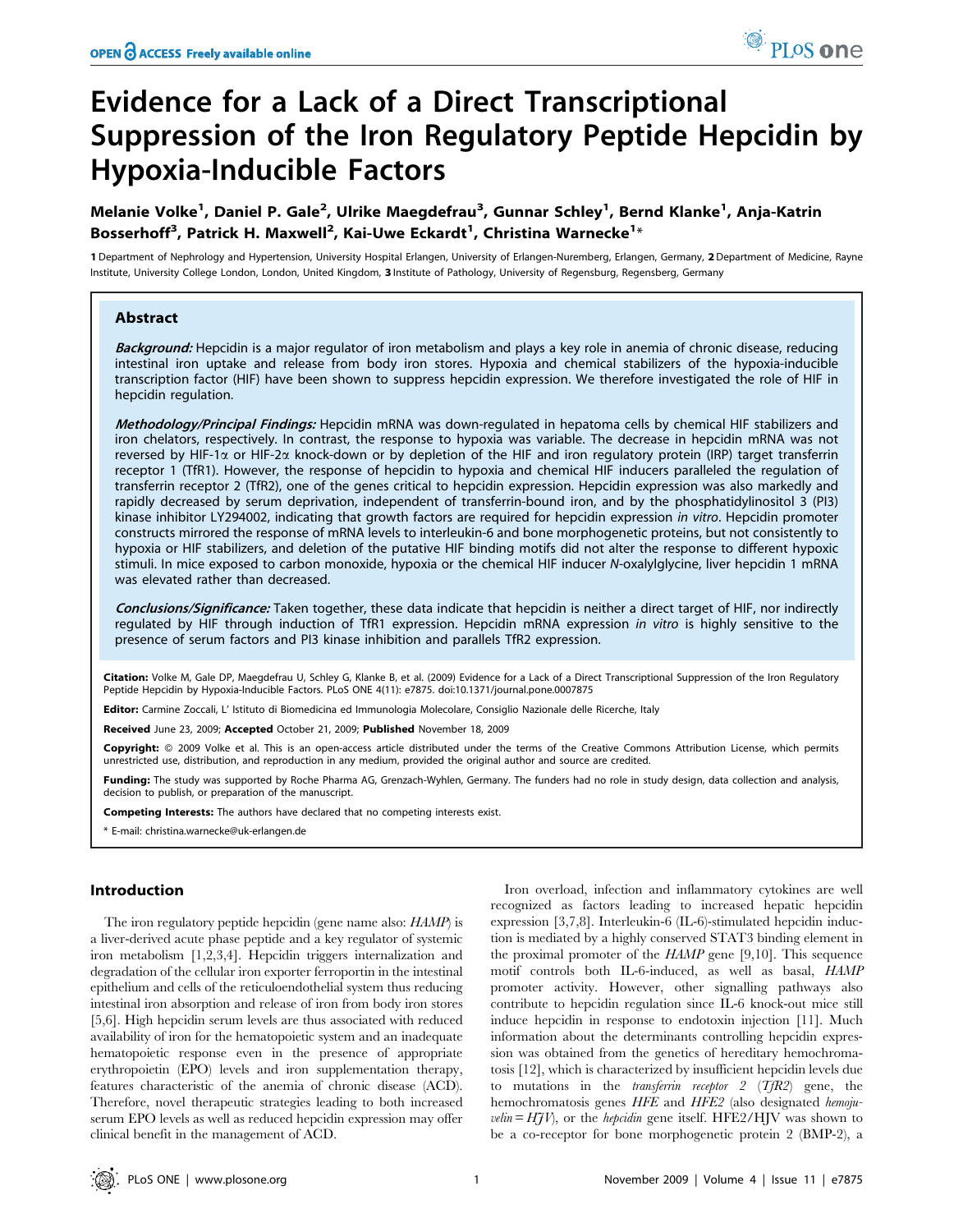# Evidence for a Lack of a Direct Transcriptional Suppression of the Iron Regulatory Peptide Hepcidin by Hypoxia-Inducible Factors

Melanie Volke<sup>1</sup>, Daniel P. Gale<sup>2</sup>, Ulrike Maegdefrau<sup>3</sup>, Gunnar Schley<sup>1</sup>, Bernd Klanke<sup>1</sup>, Anja-Katrin Bosserhoff $^3$ , Patrick H. Maxwell $^2$ , Kai-Uwe Eckardt $^1$ , Christina Warnecke $^{1_\times}$ 

1 Department of Nephrology and Hypertension, University Hospital Erlangen, University of Erlangen-Nuremberg, Erlangen, Germany, 2 Department of Medicine, Rayne Institute, University College London, London, United Kingdom, 3 Institute of Pathology, University of Regensburg, Regensberg, Germany

# Abstract

Background: Hepcidin is a major regulator of iron metabolism and plays a key role in anemia of chronic disease, reducing intestinal iron uptake and release from body iron stores. Hypoxia and chemical stabilizers of the hypoxia-inducible transcription factor (HIF) have been shown to suppress hepcidin expression. We therefore investigated the role of HIF in hepcidin regulation.

Methodology/Principal Findings: Hepcidin mRNA was down-regulated in hepatoma cells by chemical HIF stabilizers and iron chelators, respectively. In contrast, the response to hypoxia was variable. The decrease in hepcidin mRNA was not reversed by HIF-1 $\alpha$  or HIF-2 $\alpha$  knock-down or by depletion of the HIF and iron regulatory protein (IRP) target transferrin receptor 1 (TfR1). However, the response of hepcidin to hypoxia and chemical HIF inducers paralleled the regulation of transferrin receptor 2 (TfR2), one of the genes critical to hepcidin expression. Hepcidin expression was also markedly and rapidly decreased by serum deprivation, independent of transferrin-bound iron, and by the phosphatidylinositol 3 (PI3) kinase inhibitor LY294002, indicating that growth factors are required for hepcidin expression in vitro. Hepcidin promoter constructs mirrored the response of mRNA levels to interleukin-6 and bone morphogenetic proteins, but not consistently to hypoxia or HIF stabilizers, and deletion of the putative HIF binding motifs did not alter the response to different hypoxic stimuli. In mice exposed to carbon monoxide, hypoxia or the chemical HIF inducer N-oxalylglycine, liver hepcidin 1 mRNA was elevated rather than decreased.

Conclusions/Significance: Taken together, these data indicate that hepcidin is neither a direct target of HIF, nor indirectly regulated by HIF through induction of TfR1 expression. Hepcidin mRNA expression in vitro is highly sensitive to the presence of serum factors and PI3 kinase inhibition and parallels TfR2 expression.

Citation: Volke M, Gale DP, Maegdefrau U, Schley G, Klanke B, et al. (2009) Evidence for a Lack of a Direct Transcriptional Suppression of the Iron Regulatory Peptide Hepcidin by Hypoxia-Inducible Factors. PLoS ONE 4(11): e7875. doi:10.1371/journal.pone.0007875

Editor: Carmine Zoccali, L' Istituto di Biomedicina ed Immunologia Molecolare, Consiglio Nazionale delle Ricerche, Italy

Received June 23, 2009; Accepted October 21, 2009; Published November 18, 2009

Copyright: © 2009 Volke et al. This is an open-access article distributed under the terms of the Creative Commons Attribution License, which permits unrestricted use, distribution, and reproduction in any medium, provided the original author and source are credited.

Funding: The study was supported by Roche Pharma AG, Grenzach-Wyhlen, Germany. The funders had no role in study design, data collection and analysis, decision to publish, or preparation of the manuscript.

Competing Interests: The authors have declared that no competing interests exist.

\* E-mail: christina.warnecke@uk-erlangen.de

### Introduction

The iron regulatory peptide hepcidin (gene name also: HAMP) is a liver-derived acute phase peptide and a key regulator of systemic iron metabolism [1,2,3,4]. Hepcidin triggers internalization and degradation of the cellular iron exporter ferroportin in the intestinal epithelium and cells of the reticuloendothelial system thus reducing intestinal iron absorption and release of iron from body iron stores [5,6]. High hepcidin serum levels are thus associated with reduced availability of iron for the hematopoietic system and an inadequate hematopoietic response even in the presence of appropriate erythropoietin (EPO) levels and iron supplementation therapy, features characteristic of the anemia of chronic disease (ACD). Therefore, novel therapeutic strategies leading to both increased serum EPO levels as well as reduced hepcidin expression may offer clinical benefit in the management of ACD.

Iron overload, infection and inflammatory cytokines are well recognized as factors leading to increased hepatic hepcidin expression [3,7,8]. Interleukin-6 (IL-6)-stimulated hepcidin induction is mediated by a highly conserved STAT3 binding element in the proximal promoter of the HAMP gene [9,10]. This sequence motif controls both IL-6-induced, as well as basal, HAMP promoter activity. However, other signalling pathways also contribute to hepcidin regulation since IL-6 knock-out mice still induce hepcidin in response to endotoxin injection [11]. Much information about the determinants controlling hepcidin expression was obtained from the genetics of hereditary hemochromatosis [12], which is characterized by insufficient hepcidin levels due to mutations in the *transferrin receptor*  $2$  ( $TfR2$ ) gene, the hemochromatosis genes HFE and HFE2 (also designated hemoju $velin = HJV$ , or the *hepcidin* gene itself. HFE2/HJV was shown to be a co-receptor for bone morphogenetic protein 2 (BMP-2), a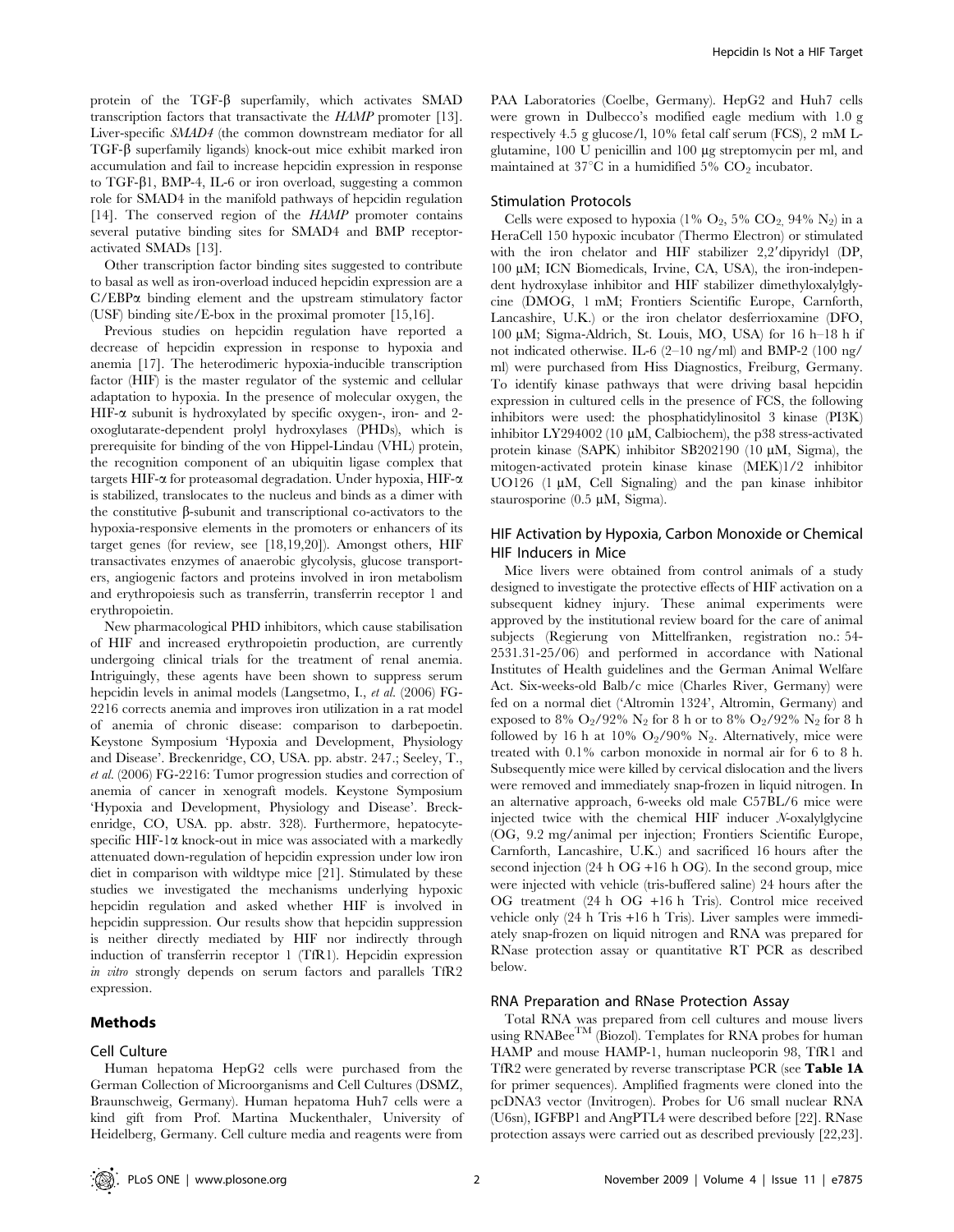protein of the  $TGF- $\beta$  superfamily, which activates SMAD$ transcription factors that transactivate the HAMP promoter [13]. Liver-specific SMAD4 (the common downstream mediator for all  $TGF-\beta$  superfamily ligands) knock-out mice exhibit marked iron accumulation and fail to increase hepcidin expression in response to TGF- $\beta$ 1, BMP-4, IL-6 or iron overload, suggesting a common role for SMAD4 in the manifold pathways of hepcidin regulation [14]. The conserved region of the HAMP promoter contains several putative binding sites for SMAD4 and BMP receptoractivated SMADs [13].

Other transcription factor binding sites suggested to contribute to basal as well as iron-overload induced hepcidin expression are a  $C/EBP\alpha$  binding element and the upstream stimulatory factor (USF) binding site/E-box in the proximal promoter [15,16].

Previous studies on hepcidin regulation have reported a decrease of hepcidin expression in response to hypoxia and anemia [17]. The heterodimeric hypoxia-inducible transcription factor (HIF) is the master regulator of the systemic and cellular adaptation to hypoxia. In the presence of molecular oxygen, the HIF- $\alpha$  subunit is hydroxylated by specific oxygen-, iron- and 2oxoglutarate-dependent prolyl hydroxylases (PHDs), which is prerequisite for binding of the von Hippel-Lindau (VHL) protein, the recognition component of an ubiquitin ligase complex that targets HIF- $\alpha$  for proteasomal degradation. Under hypoxia, HIF- $\alpha$ is stabilized, translocates to the nucleus and binds as a dimer with the constitutive  $\beta$ -subunit and transcriptional co-activators to the hypoxia-responsive elements in the promoters or enhancers of its target genes (for review, see [18,19,20]). Amongst others, HIF transactivates enzymes of anaerobic glycolysis, glucose transporters, angiogenic factors and proteins involved in iron metabolism and erythropoiesis such as transferrin, transferrin receptor 1 and erythropoietin.

New pharmacological PHD inhibitors, which cause stabilisation of HIF and increased erythropoietin production, are currently undergoing clinical trials for the treatment of renal anemia. Intriguingly, these agents have been shown to suppress serum hepcidin levels in animal models (Langsetmo, I., et al. (2006) FG-2216 corrects anemia and improves iron utilization in a rat model of anemia of chronic disease: comparison to darbepoetin. Keystone Symposium 'Hypoxia and Development, Physiology and Disease'. Breckenridge, CO, USA. pp. abstr. 247.; Seeley, T., et al. (2006) FG-2216: Tumor progression studies and correction of anemia of cancer in xenograft models. Keystone Symposium 'Hypoxia and Development, Physiology and Disease'. Breckenridge, CO, USA. pp. abstr. 328). Furthermore, hepatocytespecific HIF-1 $\alpha$  knock-out in mice was associated with a markedly attenuated down-regulation of hepcidin expression under low iron diet in comparison with wildtype mice [21]. Stimulated by these studies we investigated the mechanisms underlying hypoxic hepcidin regulation and asked whether HIF is involved in hepcidin suppression. Our results show that hepcidin suppression is neither directly mediated by HIF nor indirectly through induction of transferrin receptor 1 (TfR1). Hepcidin expression in vitro strongly depends on serum factors and parallels TfR2 expression.

### Methods

# Cell Culture

Human hepatoma HepG2 cells were purchased from the German Collection of Microorganisms and Cell Cultures (DSMZ, Braunschweig, Germany). Human hepatoma Huh7 cells were a kind gift from Prof. Martina Muckenthaler, University of Heidelberg, Germany. Cell culture media and reagents were from

PAA Laboratories (Coelbe, Germany). HepG2 and Huh7 cells were grown in Dulbecco's modified eagle medium with 1.0 g respectively 4.5 g glucose/l, 10% fetal calf serum (FCS), 2 mM Lglutamine, 100 U penicillin and 100 mg streptomycin per ml, and maintained at  $37^{\circ}$ C in a humidified  $5\%$  CO<sub>2</sub> incubator.

#### Stimulation Protocols

Cells were exposed to hypoxia (1%  $O_2$ , 5%  $CO_2$ , 94%  $N_2$ ) in a HeraCell 150 hypoxic incubator (Thermo Electron) or stimulated with the iron chelator and HIF stabilizer  $2,2'$  dipyridyl (DP, 100 mM; ICN Biomedicals, Irvine, CA, USA), the iron-independent hydroxylase inhibitor and HIF stabilizer dimethyloxalylglycine (DMOG, 1 mM; Frontiers Scientific Europe, Carnforth, Lancashire, U.K.) or the iron chelator desferrioxamine (DFO, 100 mM; Sigma-Aldrich, St. Louis, MO, USA) for 16 h–18 h if not indicated otherwise. IL-6 (2–10 ng/ml) and BMP-2 (100 ng/ ml) were purchased from Hiss Diagnostics, Freiburg, Germany. To identify kinase pathways that were driving basal hepcidin expression in cultured cells in the presence of FCS, the following inhibitors were used: the phosphatidylinositol 3 kinase (PI3K) inhibitor LY294002 (10  $\mu$ M, Calbiochem), the p38 stress-activated protein kinase (SAPK) inhibitor SB202190 (10  $\mu$ M, Sigma), the mitogen-activated protein kinase kinase (MEK)1/2 inhibitor UO126  $(1 \mu M,$  Cell Signaling) and the pan kinase inhibitor staurosporine  $(0.5 \mu M,$  Sigma).

# HIF Activation by Hypoxia, Carbon Monoxide or Chemical HIF Inducers in Mice

Mice livers were obtained from control animals of a study designed to investigate the protective effects of HIF activation on a subsequent kidney injury. These animal experiments were approved by the institutional review board for the care of animal subjects (Regierung von Mittelfranken, registration no.: 54- 2531.31-25/06) and performed in accordance with National Institutes of Health guidelines and the German Animal Welfare Act. Six-weeks-old Balb/c mice (Charles River, Germany) were fed on a normal diet ('Altromin 1324', Altromin, Germany) and exposed to 8%  $O_2$ /92%  $N_2$  for 8 h or to 8%  $O_2$ /92%  $N_2$  for 8 h followed by 16 h at 10%  $O_2/90\%$  N<sub>2</sub>. Alternatively, mice were treated with 0.1% carbon monoxide in normal air for 6 to 8 h. Subsequently mice were killed by cervical dislocation and the livers were removed and immediately snap-frozen in liquid nitrogen. In an alternative approach, 6-weeks old male C57BL/6 mice were injected twice with the chemical HIF inducer N-oxalylglycine (OG, 9.2 mg/animal per injection; Frontiers Scientific Europe, Carnforth, Lancashire, U.K.) and sacrificed 16 hours after the second injection (24 h OG +16 h OG). In the second group, mice were injected with vehicle (tris-buffered saline) 24 hours after the OG treatment (24 h OG +16 h Tris). Control mice received vehicle only (24 h Tris +16 h Tris). Liver samples were immediately snap-frozen on liquid nitrogen and RNA was prepared for RNase protection assay or quantitative RT PCR as described below.

### RNA Preparation and RNase Protection Assay

Total RNA was prepared from cell cultures and mouse livers  $U$  and  $U$  and  $U$  and  $V$  and  $V$  and  $V$  and  $V$  and  $V$  are  $V$  and  $V$  are  $V$  and  $V$  are  $V$  and  $V$  are  $V$  and  $V$  are  $V$  and  $V$  are  $V$  and  $V$  are  $V$  and  $V$  are  $V$  are  $V$  and  $V$  are  $V$  are  $V$  and  $V$  a HAMP and mouse HAMP-1, human nucleoporin 98, TfR1 and TfR2 were generated by reverse transcriptase PCR (see Table 1A for primer sequences). Amplified fragments were cloned into the pcDNA3 vector (Invitrogen). Probes for U6 small nuclear RNA (U6sn), IGFBP1 and AngPTL4 were described before [22]. RNase protection assays were carried out as described previously [22,23].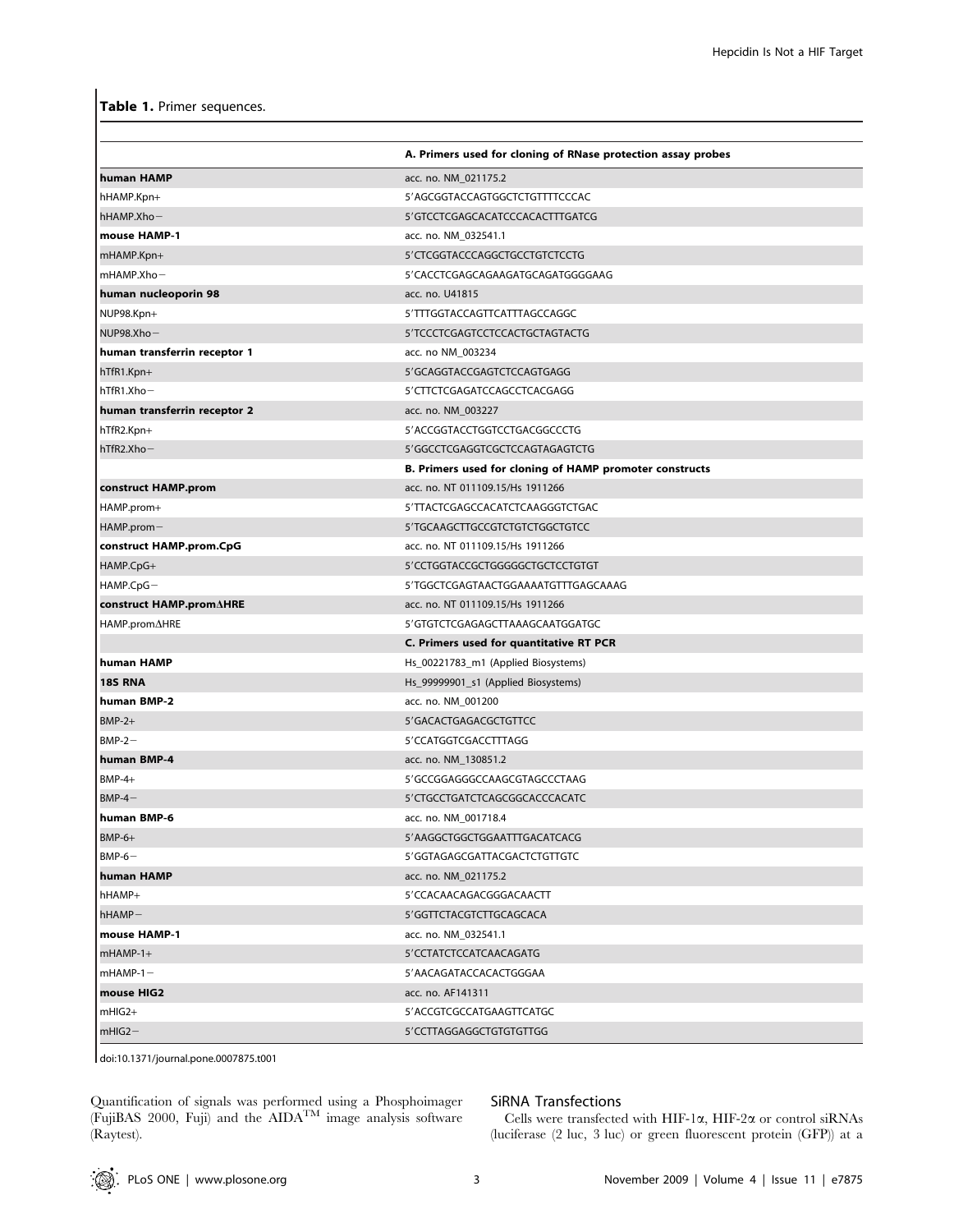Table 1. Primer sequences.

|                              | A. Primers used for cloning of RNase protection assay probes |  |  |  |
|------------------------------|--------------------------------------------------------------|--|--|--|
| human HAMP                   | acc. no. NM_021175.2                                         |  |  |  |
| hHAMP.Kpn+                   | 5'AGCGGTACCAGTGGCTCTGTTTTCCCAC                               |  |  |  |
| hHAMP.Xho-                   | 5'GTCCTCGAGCACATCCCACACTTTGATCG                              |  |  |  |
| mouse HAMP-1                 | acc. no. NM_032541.1                                         |  |  |  |
| mHAMP.Kpn+                   | 5'CTCGGTACCCAGGCTGCCTGTCTCCTG                                |  |  |  |
| $m$ HAMP.Xho $-$             | 5'CACCTCGAGCAGAAGATGCAGATGGGGAAG                             |  |  |  |
| human nucleoporin 98         | acc. no. U41815                                              |  |  |  |
| NUP98.Kpn+                   | 5'TTTGGTACCAGTTCATTTAGCCAGGC                                 |  |  |  |
| NUP98.Xho-                   | 5'TCCCTCGAGTCCTCCACTGCTAGTACTG                               |  |  |  |
| human transferrin receptor 1 | acc. no NM 003234                                            |  |  |  |
| hTfR1.Kpn+                   | 5'GCAGGTACCGAGTCTCCAGTGAGG                                   |  |  |  |
| $h$ TfR1.Xho $-$             | 5'CTTCTCGAGATCCAGCCTCACGAGG                                  |  |  |  |
| human transferrin receptor 2 | acc. no. NM_003227                                           |  |  |  |
| hTfR2.Kpn+                   | 5'ACCGGTACCTGGTCCTGACGGCCCTG                                 |  |  |  |
| hTfR2.Xho-                   | 5'GGCCTCGAGGTCGCTCCAGTAGAGTCTG                               |  |  |  |
|                              | B. Primers used for cloning of HAMP promoter constructs      |  |  |  |
| construct HAMP.prom          | acc. no. NT 011109.15/Hs 1911266                             |  |  |  |
| HAMP.prom+                   | 5'TTACTCGAGCCACATCTCAAGGGTCTGAC                              |  |  |  |
| $HAMP.prom-$                 | 5'TGCAAGCTTGCCGTCTGTCTGGCTGTCC                               |  |  |  |
| construct HAMP.prom.CpG      | acc. no. NT 011109.15/Hs 1911266                             |  |  |  |
| HAMP.CpG+                    | 5'CCTGGTACCGCTGGGGGCTGCTCCTGTGT                              |  |  |  |
| HAMP.CpG-                    | 5'TGGCTCGAGTAACTGGAAAATGTTTGAGCAAAG                          |  |  |  |
| construct HAMP.prom∆HRE      | acc. no. NT 011109.15/Hs 1911266                             |  |  |  |
| HAMP.prom $\Delta$ HRE       | 5'GTGTCTCGAGAGCTTAAAGCAATGGATGC                              |  |  |  |
|                              | C. Primers used for quantitative RT PCR                      |  |  |  |
| human HAMP                   | Hs_00221783_m1 (Applied Biosystems)                          |  |  |  |
| <b>18S RNA</b>               | Hs_99999901_s1 (Applied Biosystems)                          |  |  |  |
| human BMP-2                  | acc. no. NM_001200                                           |  |  |  |
| BMP-2+                       | 5'GACACTGAGACGCTGTTCC                                        |  |  |  |
| $BMP-2-$                     | 5'CCATGGTCGACCTTTAGG                                         |  |  |  |
| human BMP-4                  | acc. no. NM_130851.2                                         |  |  |  |
| <b>BMP-4+</b>                | 5'GCCGGAGGGCCAAGCGTAGCCCTAAG                                 |  |  |  |
| $BMP-4-$                     | 5'CTGCCTGATCTCAGCGGCACCCACATC                                |  |  |  |
| human BMP-6                  | acc. no. NM 001718.4                                         |  |  |  |
| BMP-6+                       | 5'AAGGCTGGCTGGAATTTGACATCACG                                 |  |  |  |
| $BMP-6-$                     | 5'GGTAGAGCGATTACGACTCTGTTGTC                                 |  |  |  |
| human HAMP                   | acc. no. NM 021175.2                                         |  |  |  |
| hHAMP+                       | 5'CCACAACAGACGGGACAACTT                                      |  |  |  |
| hHAMP-                       | 5'GGTTCTACGTCTTGCAGCACA                                      |  |  |  |
| mouse HAMP-1                 | acc. no. NM_032541.1                                         |  |  |  |
| mHAMP-1+                     | 5'CCTATCTCCATCAACAGATG                                       |  |  |  |
| $mHAMP-1$ –                  | 5'AACAGATACCACACTGGGAA                                       |  |  |  |
| mouse HIG2                   | acc. no. AF141311                                            |  |  |  |
| $mHIG2+$                     | 5'ACCGTCGCCATGAAGTTCATGC                                     |  |  |  |
| $mHIG2-$                     | 5'CCTTAGGAGGCTGTGTGTTGG                                      |  |  |  |

doi:10.1371/journal.pone.0007875.t001

Quantification of signals was performed using a Phosphoimager (FujiBAS 2000, Fuji) and the AIDATM image analysis software (Raytest).

# SiRNA Transfections

Cells were transfected with HIF-1 $\alpha$ , HIF-2 $\alpha$  or control siRNAs (luciferase (2 luc, 3 luc) or green fluorescent protein (GFP)) at a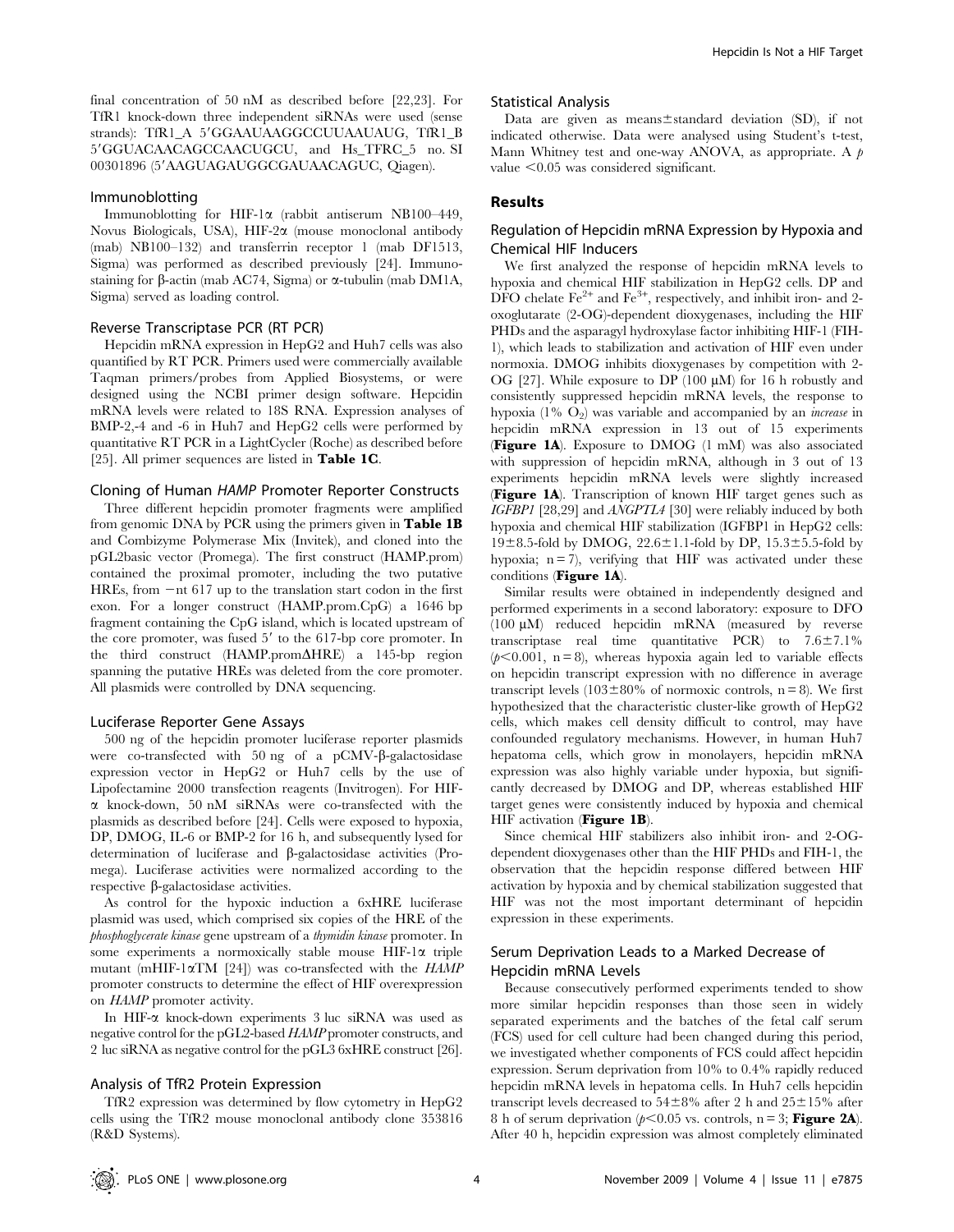final concentration of 50 nM as described before [22,23]. For TfR1 knock-down three independent siRNAs were used (sense strands): TfR1\_A 5'GGAAUAAGGCCUUAAUAUG, TfR1\_B 5'GGUACAACAGCCAACUGCU, and Hs\_TFRC\_5 no. SI 00301896 (5'AAGUAGAUGGCGAUAACAGUC, Qiagen).

#### Immunoblotting

Immunoblotting for HIF-1 $\alpha$  (rabbit antiserum NB100–449, Novus Biologicals, USA), HIF-2a (mouse monoclonal antibody (mab) NB100–132) and transferrin receptor 1 (mab DF1513, Sigma) was performed as described previously [24]. Immunostaining for  $\beta$ -actin (mab AC74, Sigma) or  $\alpha$ -tubulin (mab DM1A, Sigma) served as loading control.

#### Reverse Transcriptase PCR (RT PCR)

Hepcidin mRNA expression in HepG2 and Huh7 cells was also quantified by RT PCR. Primers used were commercially available Taqman primers/probes from Applied Biosystems, or were designed using the NCBI primer design software. Hepcidin mRNA levels were related to 18S RNA. Expression analyses of BMP-2,-4 and -6 in Huh7 and HepG2 cells were performed by quantitative RT PCR in a LightCycler (Roche) as described before [25]. All primer sequences are listed in Table 1C.

#### Cloning of Human HAMP Promoter Reporter Constructs

Three different hepcidin promoter fragments were amplified from genomic DNA by PCR using the primers given in Table 1B and Combizyme Polymerase Mix (Invitek), and cloned into the pGL2basic vector (Promega). The first construct (HAMP.prom) contained the proximal promoter, including the two putative HREs, from  $-nt 617$  up to the translation start codon in the first exon. For a longer construct (HAMP.prom.CpG) a 1646 bp fragment containing the CpG island, which is located upstream of the core promoter, was fused 5' to the 617-bp core promoter. In the third construct (HAMP.prom $\triangle$ HRE) a 145-bp region spanning the putative HREs was deleted from the core promoter. All plasmids were controlled by DNA sequencing.

#### Luciferase Reporter Gene Assays

500 ng of the hepcidin promoter luciferase reporter plasmids were co-transfected with 50 ng of a pCMV- $\beta$ -galactosidase expression vector in HepG2 or Huh7 cells by the use of Lipofectamine 2000 transfection reagents (Invitrogen). For HIFa knock-down, 50 nM siRNAs were co-transfected with the plasmids as described before [24]. Cells were exposed to hypoxia, DP, DMOG, IL-6 or BMP-2 for 16 h, and subsequently lysed for determination of luciferase and  $\beta$ -galactosidase activities (Promega). Luciferase activities were normalized according to the respective  $\beta$ -galactosidase activities.

As control for the hypoxic induction a 6xHRE luciferase plasmid was used, which comprised six copies of the HRE of the phosphoglycerate kinase gene upstream of a thymidin kinase promoter. In some experiments a normoxically stable mouse  $HIF-1\alpha$  triple mutant (mHIF-1 $\alpha$ TM [24]) was co-transfected with the HAMP promoter constructs to determine the effect of HIF overexpression on HAMP promoter activity.

In HIF-a knock-down experiments 3 luc siRNA was used as negative control for the pGL2-based HAMP promoter constructs, and 2 luc siRNA as negative control for the pGL3 6xHRE construct [26].

#### Analysis of TfR2 Protein Expression

TfR2 expression was determined by flow cytometry in HepG2 cells using the TfR2 mouse monoclonal antibody clone 353816 (R&D Systems).

#### Statistical Analysis

Data are given as means $\pm$ standard deviation (SD), if not indicated otherwise. Data were analysed using Student's t-test, Mann Whitney test and one-way ANOVA, as appropriate. A  $p$ value  $< 0.05$  was considered significant.

#### Results

# Regulation of Hepcidin mRNA Expression by Hypoxia and Chemical HIF Inducers

We first analyzed the response of hepcidin mRNA levels to hypoxia and chemical HIF stabilization in HepG2 cells. DP and DFO chelate  $\text{Fe}^{2+}$  and  $\text{Fe}^{3+}$ , respectively, and inhibit iron- and 2oxoglutarate (2-OG)-dependent dioxygenases, including the HIF PHDs and the asparagyl hydroxylase factor inhibiting HIF-1 (FIH-1), which leads to stabilization and activation of HIF even under normoxia. DMOG inhibits dioxygenases by competition with 2- OG [27]. While exposure to DP (100  $\mu$ M) for 16 h robustly and consistently suppressed hepcidin mRNA levels, the response to hypoxia (1%  $O_2$ ) was variable and accompanied by an *increase* in hepcidin mRNA expression in 13 out of 15 experiments (Figure 1A). Exposure to DMOG (1 mM) was also associated with suppression of hepcidin mRNA, although in 3 out of 13 experiments hepcidin mRNA levels were slightly increased (Figure 1A). Transcription of known HIF target genes such as IGFBP1 [28,29] and ANGPTL4 [30] were reliably induced by both hypoxia and chemical HIF stabilization (IGFBP1 in HepG2 cells: 19 $\pm$ 8.5-fold by DMOG, 22.6 $\pm$ 1.1-fold by DP, 15.3 $\pm$ 5.5-fold by hypoxia;  $n = 7$ ), verifying that HIF was activated under these conditions (Figure 1A).

Similar results were obtained in independently designed and performed experiments in a second laboratory: exposure to DFO (100 mM) reduced hepcidin mRNA (measured by reverse transcriptase real time quantitative PCR) to  $7.6 \pm 7.1\%$  $(p<0.001, n=8)$ , whereas hypoxia again led to variable effects on hepcidin transcript expression with no difference in average transcript levels  $(103\pm80\%$  of normoxic controls, n = 8). We first hypothesized that the characteristic cluster-like growth of HepG2 cells, which makes cell density difficult to control, may have confounded regulatory mechanisms. However, in human Huh7 hepatoma cells, which grow in monolayers, hepcidin mRNA expression was also highly variable under hypoxia, but significantly decreased by DMOG and DP, whereas established HIF target genes were consistently induced by hypoxia and chemical HIF activation (Figure 1B).

Since chemical HIF stabilizers also inhibit iron- and 2-OGdependent dioxygenases other than the HIF PHDs and FIH-1, the observation that the hepcidin response differed between HIF activation by hypoxia and by chemical stabilization suggested that HIF was not the most important determinant of hepcidin expression in these experiments.

# Serum Deprivation Leads to a Marked Decrease of Hepcidin mRNA Levels

Because consecutively performed experiments tended to show more similar hepcidin responses than those seen in widely separated experiments and the batches of the fetal calf serum (FCS) used for cell culture had been changed during this period, we investigated whether components of FCS could affect hepcidin expression. Serum deprivation from 10% to 0.4% rapidly reduced hepcidin mRNA levels in hepatoma cells. In Huh7 cells hepcidin transcript levels decreased to  $54\pm8\%$  after 2 h and  $25\pm15\%$  after 8 h of serum deprivation  $(p<0.05$  vs. controls, n = 3; **Figure 2A**). After 40 h, hepcidin expression was almost completely eliminated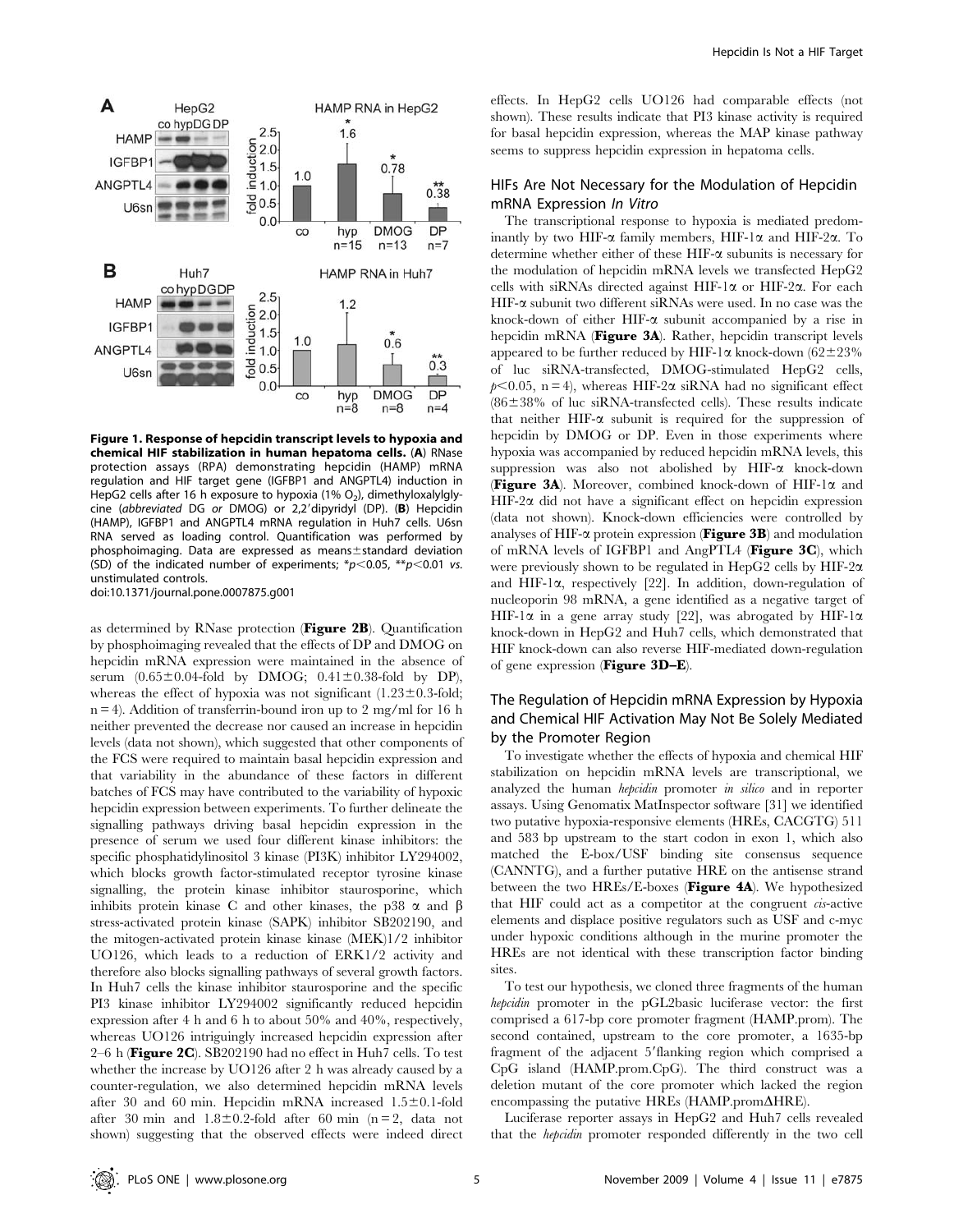

Figure 1. Response of hepcidin transcript levels to hypoxia and chemical HIF stabilization in human hepatoma cells. (A) RNase protection assays (RPA) demonstrating hepcidin (HAMP) mRNA regulation and HIF target gene (IGFBP1 and ANGPTL4) induction in HepG2 cells after 16 h exposure to hypoxia (1%  $O<sub>2</sub>$ ), dimethyloxalylglycine (abbreviated DG or DMOG) or  $2,2'$  dipyridyl (DP). (B) Hepcidin (HAMP), IGFBP1 and ANGPTL4 mRNA regulation in Huh7 cells. U6sn RNA served as loading control. Quantification was performed by phosphoimaging. Data are expressed as means $\pm$ standard deviation (SD) of the indicated number of experiments;  $*p$ <0.05,  $*p$ <0.01 vs. unstimulated controls.

doi:10.1371/journal.pone.0007875.g001

as determined by RNase protection (Figure 2B). Quantification by phosphoimaging revealed that the effects of DP and DMOG on hepcidin mRNA expression were maintained in the absence of serum  $(0.65\pm0.04\text{-fold by DMOG}; 0.41\pm0.38\text{-fold by DP}),$ whereas the effect of hypoxia was not significant  $(1.23 \pm 0.3 \text{-} \text{fold};$  $n = 4$ ). Addition of transferrin-bound iron up to 2 mg/ml for 16 h neither prevented the decrease nor caused an increase in hepcidin levels (data not shown), which suggested that other components of the FCS were required to maintain basal hepcidin expression and that variability in the abundance of these factors in different batches of FCS may have contributed to the variability of hypoxic hepcidin expression between experiments. To further delineate the signalling pathways driving basal hepcidin expression in the presence of serum we used four different kinase inhibitors: the specific phosphatidylinositol 3 kinase (PI3K) inhibitor LY294002, which blocks growth factor-stimulated receptor tyrosine kinase signalling, the protein kinase inhibitor staurosporine, which inhibits protein kinase C and other kinases, the p38  $\alpha$  and  $\beta$ stress-activated protein kinase (SAPK) inhibitor SB202190, and the mitogen-activated protein kinase kinase (MEK)1/2 inhibitor UO126, which leads to a reduction of ERK1/2 activity and therefore also blocks signalling pathways of several growth factors. In Huh7 cells the kinase inhibitor staurosporine and the specific PI3 kinase inhibitor LY294002 significantly reduced hepcidin expression after 4 h and 6 h to about 50% and 40%, respectively, whereas UO126 intriguingly increased hepcidin expression after  $2-6$  h (**Figure 2C**). SB202190 had no effect in Huh7 cells. To test whether the increase by UO126 after 2 h was already caused by a counter-regulation, we also determined hepcidin mRNA levels after 30 and 60 min. Hepcidin mRNA increased  $1.5\pm0.1$ -fold after 30 min and  $1.8 \pm 0.2$ -fold after 60 min (n = 2, data not shown) suggesting that the observed effects were indeed direct

effects. In HepG2 cells UO126 had comparable effects (not shown). These results indicate that PI3 kinase activity is required for basal hepcidin expression, whereas the MAP kinase pathway seems to suppress hepcidin expression in hepatoma cells.

# HIFs Are Not Necessary for the Modulation of Hepcidin mRNA Expression In Vitro

The transcriptional response to hypoxia is mediated predominantly by two HIF- $\alpha$  family members, HIF-1 $\alpha$  and HIF-2 $\alpha$ . To determine whether either of these HIF-a subunits is necessary for the modulation of hepcidin mRNA levels we transfected HepG2 cells with siRNAs directed against HIF-1 $\alpha$  or HIF-2 $\alpha$ . For each  $HIF-\alpha$  subunit two different siRNAs were used. In no case was the knock-down of either HIF- $\alpha$  subunit accompanied by a rise in hepcidin mRNA (Figure 3A). Rather, hepcidin transcript levels appeared to be further reduced by HIF-1 $\alpha$  knock-down (62 $\pm$ 23%) of luc siRNA-transfected, DMOG-stimulated HepG2 cells,  $p<0.05$ , n = 4), whereas HIF-2 $\alpha$  siRNA had no significant effect  $(86\pm38\%$  of luc siRNA-transfected cells). These results indicate that neither  $HIF-\alpha$  subunit is required for the suppression of hepcidin by DMOG or DP. Even in those experiments where hypoxia was accompanied by reduced hepcidin mRNA levels, this suppression was also not abolished by HIF- $\alpha$  knock-down **(Figure 3A).** Moreover, combined knock-down of HIF-1 $\alpha$  and  $HIF-2\alpha$  did not have a significant effect on hepcidin expression (data not shown). Knock-down efficiencies were controlled by analyses of HIF- $\alpha$  protein expression (Figure 3B) and modulation of mRNA levels of IGFBP1 and AngPTL4 (Figure 3C), which were previously shown to be regulated in HepG2 cells by HIF-2 $\alpha$ and HIF-1 $\alpha$ , respectively [22]. In addition, down-regulation of nucleoporin 98 mRNA, a gene identified as a negative target of HIF-1 $\alpha$  in a gene array study [22], was abrogated by HIF-1 $\alpha$ knock-down in HepG2 and Huh7 cells, which demonstrated that HIF knock-down can also reverse HIF-mediated down-regulation of gene expression (Figure 3D–E).

# The Regulation of Hepcidin mRNA Expression by Hypoxia and Chemical HIF Activation May Not Be Solely Mediated by the Promoter Region

To investigate whether the effects of hypoxia and chemical HIF stabilization on hepcidin mRNA levels are transcriptional, we analyzed the human hepcidin promoter in silico and in reporter assays. Using Genomatix MatInspector software [31] we identified two putative hypoxia-responsive elements (HREs, CACGTG) 511 and 583 bp upstream to the start codon in exon 1, which also matched the E-box/USF binding site consensus sequence (CANNTG), and a further putative HRE on the antisense strand between the two HREs/E-boxes (Figure 4A). We hypothesized that HIF could act as a competitor at the congruent cis-active elements and displace positive regulators such as USF and c-myc under hypoxic conditions although in the murine promoter the HREs are not identical with these transcription factor binding sites.

To test our hypothesis, we cloned three fragments of the human hepcidin promoter in the pGL2basic luciferase vector: the first comprised a 617-bp core promoter fragment (HAMP.prom). The second contained, upstream to the core promoter, a 1635-bp fragment of the adjacent 5'flanking region which comprised a CpG island (HAMP.prom.CpG). The third construct was a deletion mutant of the core promoter which lacked the region encompassing the putative HREs (HAMP.prom $\Delta$ HRE).

Luciferase reporter assays in HepG2 and Huh7 cells revealed that the hepcidin promoter responded differently in the two cell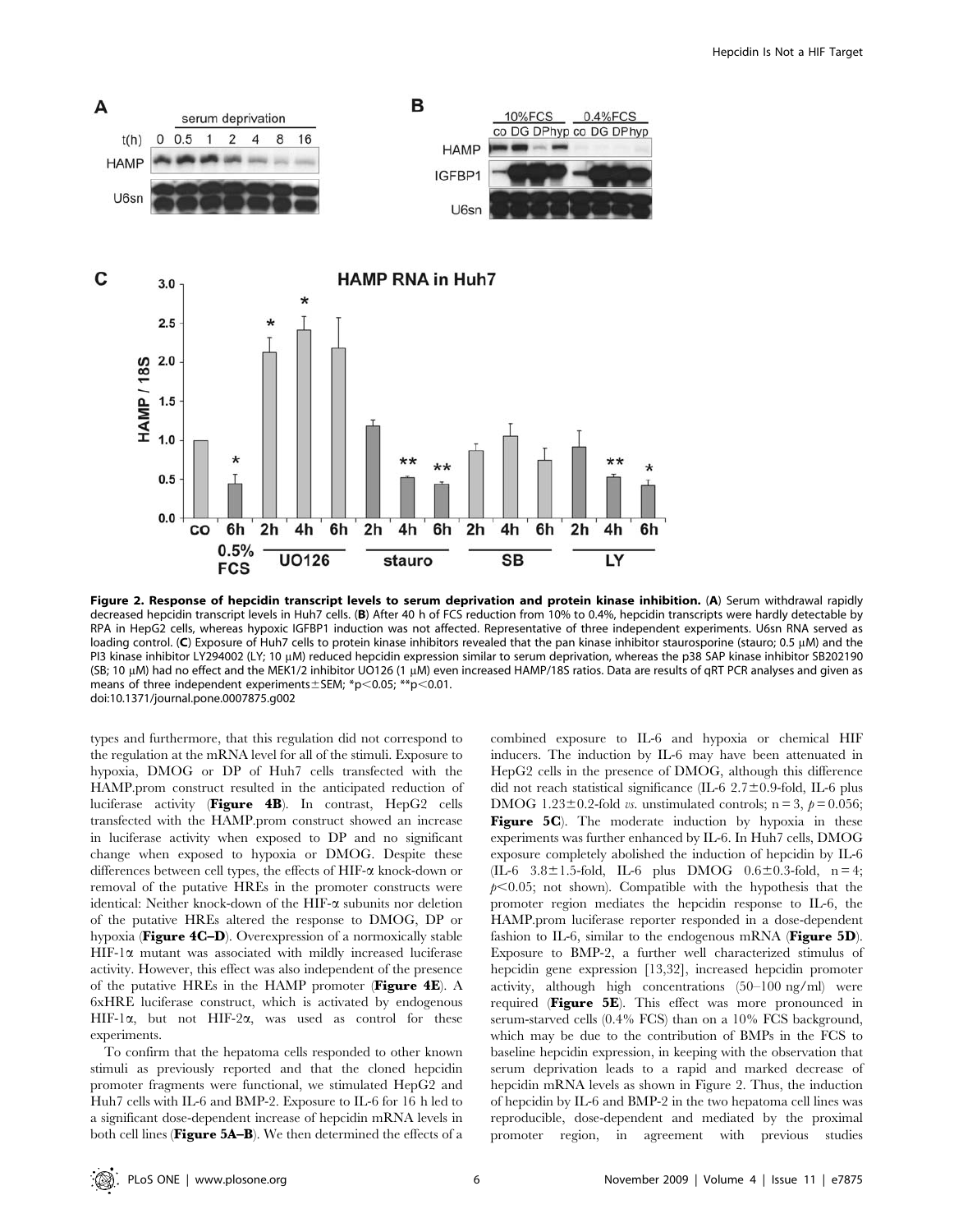

Figure 2. Response of hepcidin transcript levels to serum deprivation and protein kinase inhibition. (A) Serum withdrawal rapidly decreased hepcidin transcript levels in Huh7 cells. (B) After 40 h of FCS reduction from 10% to 0.4%, hepcidin transcripts were hardly detectable by RPA in HepG2 cells, whereas hypoxic IGFBP1 induction was not affected. Representative of three independent experiments. U6sn RNA served as loading control. (C) Exposure of Huh7 cells to protein kinase inhibitors revealed that the pan kinase inhibitor staurosporine (stauro; 0.5 µM) and the PI3 kinase inhibitor LY294002 (LY; 10 µM) reduced hepcidin expression similar to serum deprivation, whereas the p38 SAP kinase inhibitor SB202190 (SB; 10 µM) had no effect and the MEK1/2 inhibitor UO126 (1 µM) even increased HAMP/18S ratios. Data are results of qRT PCR analyses and given as means of three independent experiments $\pm$ SEM; \*p $<$ 0.05; \*\*p $<$ 0.01. doi:10.1371/journal.pone.0007875.g002

types and furthermore, that this regulation did not correspond to the regulation at the mRNA level for all of the stimuli. Exposure to hypoxia, DMOG or DP of Huh7 cells transfected with the HAMP.prom construct resulted in the anticipated reduction of luciferase activity (Figure 4B). In contrast, HepG2 cells transfected with the HAMP.prom construct showed an increase in luciferase activity when exposed to DP and no significant change when exposed to hypoxia or DMOG. Despite these differences between cell types, the effects of  $HIF-\alpha$  knock-down or removal of the putative HREs in the promoter constructs were identical: Neither knock-down of the HIF-a subunits nor deletion of the putative HREs altered the response to DMOG, DP or hypoxia (Figure 4C–D). Overexpression of a normoxically stable  $HIF-1\alpha$  mutant was associated with mildly increased luciferase activity. However, this effect was also independent of the presence of the putative HREs in the HAMP promoter (Figure 4E). A 6xHRE luciferase construct, which is activated by endogenous HIF-1 $\alpha$ , but not HIF-2 $\alpha$ , was used as control for these experiments.

To confirm that the hepatoma cells responded to other known stimuli as previously reported and that the cloned hepcidin promoter fragments were functional, we stimulated HepG2 and Huh7 cells with IL-6 and BMP-2. Exposure to IL-6 for 16 h led to a significant dose-dependent increase of hepcidin mRNA levels in both cell lines (Figure 5A–B). We then determined the effects of a combined exposure to IL-6 and hypoxia or chemical HIF inducers. The induction by IL-6 may have been attenuated in HepG2 cells in the presence of DMOG, although this difference did not reach statistical significance (IL-6  $2.7\pm0.9$ -fold, IL-6 plus DMOG 1.23 $\pm$ 0.2-fold vs. unstimulated controls; n = 3,  $p = 0.056$ ; Figure 5C). The moderate induction by hypoxia in these experiments was further enhanced by IL-6. In Huh7 cells, DMOG exposure completely abolished the induction of hepcidin by IL-6 (IL-6  $3.8 \pm 1.5$ -fold, IL-6 plus DMOG  $0.6 \pm 0.3$ -fold, n = 4;  $p<0.05$ ; not shown). Compatible with the hypothesis that the promoter region mediates the hepcidin response to IL-6, the HAMP.prom luciferase reporter responded in a dose-dependent fashion to IL-6, similar to the endogenous mRNA (Figure 5D). Exposure to BMP-2, a further well characterized stimulus of hepcidin gene expression [13,32], increased hepcidin promoter activity, although high concentrations (50–100 ng/ml) were required (Figure 5E). This effect was more pronounced in serum-starved cells (0.4% FCS) than on a 10% FCS background, which may be due to the contribution of BMPs in the FCS to baseline hepcidin expression, in keeping with the observation that serum deprivation leads to a rapid and marked decrease of hepcidin mRNA levels as shown in Figure 2. Thus, the induction of hepcidin by IL-6 and BMP-2 in the two hepatoma cell lines was reproducible, dose-dependent and mediated by the proximal promoter region, in agreement with previous studies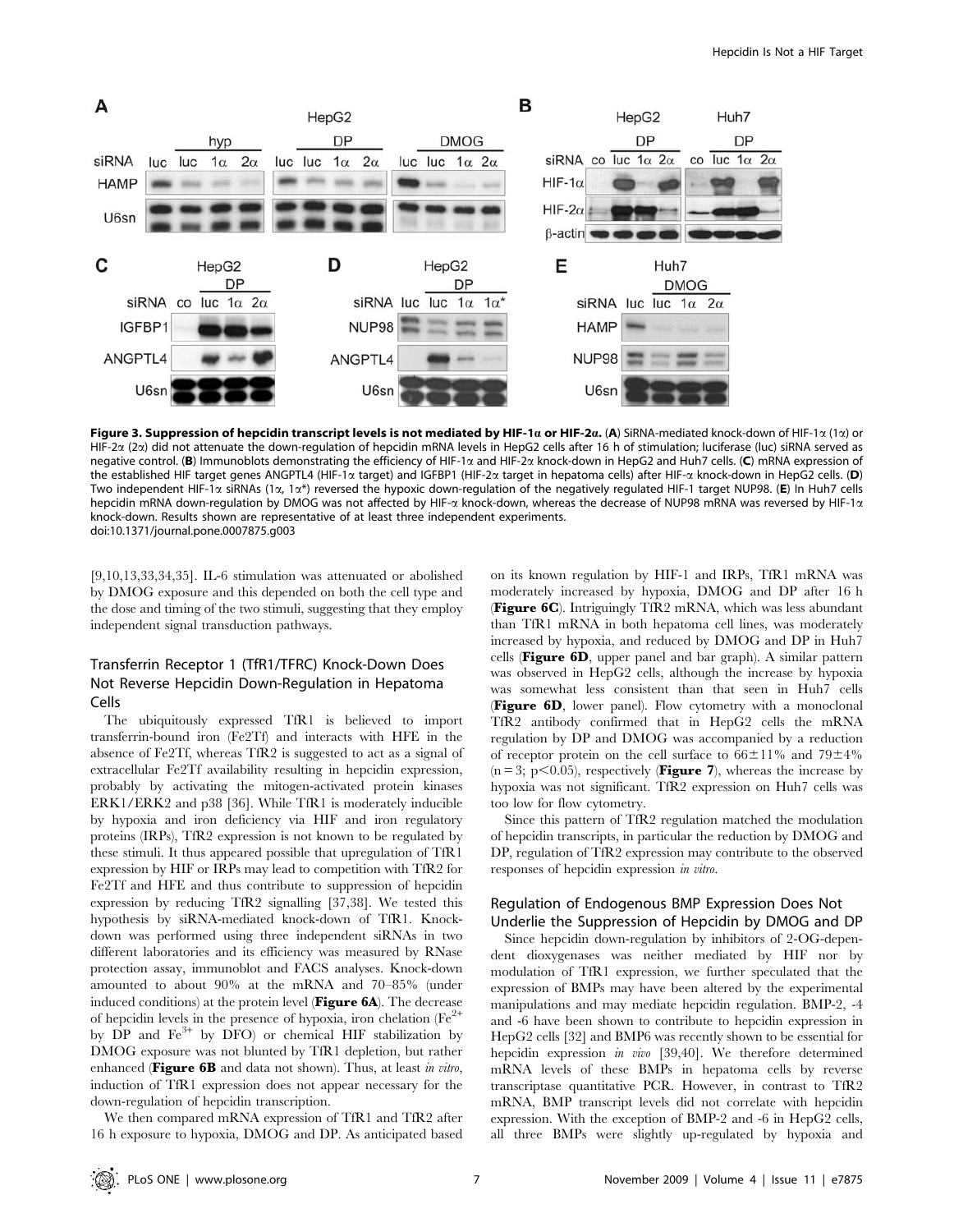

Figure 3. Suppression of hepcidin transcript levels is not mediated by HIF-1 $a$  or HIF-2 $a$ . (A) SiRNA-mediated knock-down of HIF-1 $\alpha$  (1 $\alpha$ ) or HIF-2α (2α) did not attenuate the down-regulation of hepcidin mRNA levels in HepG2 cells after 16 h of stimulation; luciferase (luc) siRNA served as negative control. (B) Immunoblots demonstrating the efficiency of HIF-1 $\alpha$  and HIF-2 $\alpha$  knock-down in HepG2 and Huh7 cells. (C) mRNA expression of the established HIF target genes ANGPTL4 (HIF-1 $\alpha$  target) and IGFBP1 (HIF-2 $\alpha$  target in hepatoma cells) after HIF- $\alpha$  knock-down in HepG2 cells. (D) Two independent HIF-1 $\alpha$  siRNAs (1 $\alpha$ , 1 $\alpha^*$ ) reversed the hypoxic down-regulation of the negatively regulated HIF-1 target NUP98. (E) In Huh7 cells hepcidin mRNA down-regulation by DMOG was not affected by HIF- $\alpha$  knock-down, whereas the decrease of NUP98 mRNA was reversed by HIF-1 $\alpha$ knock-down. Results shown are representative of at least three independent experiments. doi:10.1371/journal.pone.0007875.g003

[9,10,13,33,34,35]. IL-6 stimulation was attenuated or abolished by DMOG exposure and this depended on both the cell type and the dose and timing of the two stimuli, suggesting that they employ independent signal transduction pathways.

# Transferrin Receptor 1 (TfR1/TFRC) Knock-Down Does Not Reverse Hepcidin Down-Regulation in Hepatoma Cells

The ubiquitously expressed TfR1 is believed to import transferrin-bound iron (Fe2Tf) and interacts with HFE in the absence of Fe2Tf, whereas TfR2 is suggested to act as a signal of extracellular Fe2Tf availability resulting in hepcidin expression, probably by activating the mitogen-activated protein kinases ERK1/ERK2 and p38 [36]. While TfR1 is moderately inducible by hypoxia and iron deficiency via HIF and iron regulatory proteins (IRPs), TfR2 expression is not known to be regulated by these stimuli. It thus appeared possible that upregulation of TfR1 expression by HIF or IRPs may lead to competition with TfR2 for Fe2Tf and HFE and thus contribute to suppression of hepcidin expression by reducing TfR2 signalling [37,38]. We tested this hypothesis by siRNA-mediated knock-down of TfR1. Knockdown was performed using three independent siRNAs in two different laboratories and its efficiency was measured by RNase protection assay, immunoblot and FACS analyses. Knock-down amounted to about 90% at the mRNA and 70–85% (under induced conditions) at the protein level (**Figure 6A**). The decrease of hepcidin levels in the presence of hypoxia, iron chelation  $(Fe^{2+})$ by DP and  $Fe<sup>3+</sup>$  by DFO) or chemical HIF stabilization by DMOG exposure was not blunted by TfR1 depletion, but rather enhanced (Figure 6B and data not shown). Thus, at least in vitro, induction of TfR1 expression does not appear necessary for the down-regulation of hepcidin transcription.

We then compared mRNA expression of TfR1 and TfR2 after 16 h exposure to hypoxia, DMOG and DP. As anticipated based on its known regulation by HIF-1 and IRPs, TfR1 mRNA was moderately increased by hypoxia, DMOG and DP after 16 h (Figure 6C). Intriguingly TfR2 mRNA, which was less abundant than TfR1 mRNA in both hepatoma cell lines, was moderately increased by hypoxia, and reduced by DMOG and DP in Huh7 cells (**Figure 6D**, upper panel and bar graph). A similar pattern was observed in HepG2 cells, although the increase by hypoxia was somewhat less consistent than that seen in Huh7 cells (Figure 6D, lower panel). Flow cytometry with a monoclonal TfR2 antibody confirmed that in HepG2 cells the mRNA regulation by DP and DMOG was accompanied by a reduction of receptor protein on the cell surface to  $66\pm11\%$  and  $79\pm4\%$  $(n = 3; p < 0.05)$ , respectively (**Figure 7**), whereas the increase by hypoxia was not significant. TfR2 expression on Huh7 cells was too low for flow cytometry.

Since this pattern of TfR2 regulation matched the modulation of hepcidin transcripts, in particular the reduction by DMOG and DP, regulation of TfR2 expression may contribute to the observed responses of hepcidin expression in vitro.

# Regulation of Endogenous BMP Expression Does Not Underlie the Suppression of Hepcidin by DMOG and DP

Since hepcidin down-regulation by inhibitors of 2-OG-dependent dioxygenases was neither mediated by HIF nor by modulation of TfR1 expression, we further speculated that the expression of BMPs may have been altered by the experimental manipulations and may mediate hepcidin regulation. BMP-2, -4 and -6 have been shown to contribute to hepcidin expression in HepG2 cells [32] and BMP6 was recently shown to be essential for hepcidin expression in vivo [39,40]. We therefore determined mRNA levels of these BMPs in hepatoma cells by reverse transcriptase quantitative PCR. However, in contrast to TfR2 mRNA, BMP transcript levels did not correlate with hepcidin expression. With the exception of BMP-2 and -6 in HepG2 cells, all three BMPs were slightly up-regulated by hypoxia and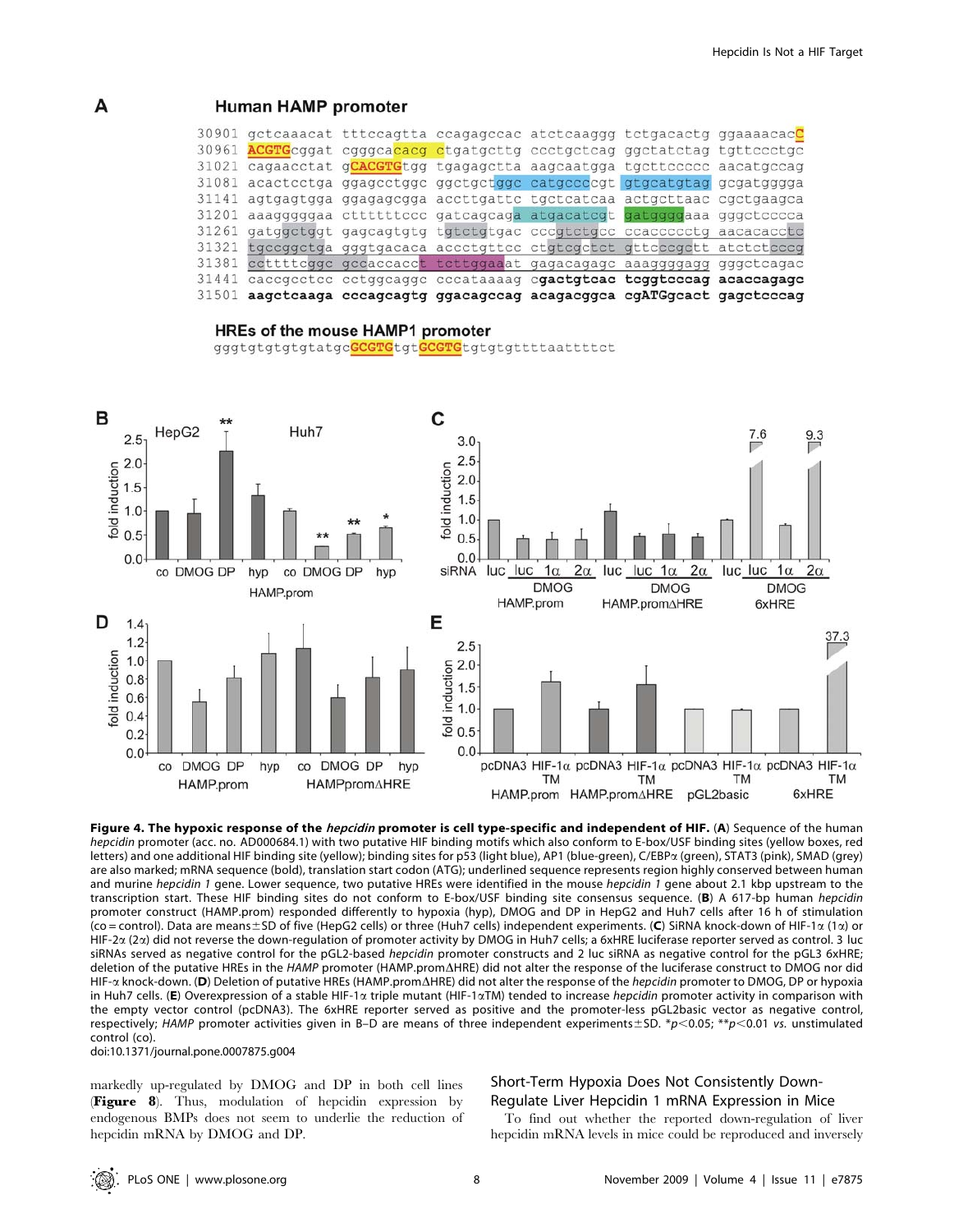#### A **Human HAMP promoter**

|       | 30901 gctcaaacat tttccagtta ccagagccac atctcaaggg tctgacactg ggaaaacacC          |  |                                                                   |  |
|-------|----------------------------------------------------------------------------------|--|-------------------------------------------------------------------|--|
|       | 30961 ACGTGcggat cgggcacacg ctgatgcttg ccctgctcag ggctatctag tgttccctgc          |  |                                                                   |  |
|       | 31021 cagaacctat g <b>CACGTG</b> tgg tgagagctta aagcaatgga tgcttccccc aacatgccag |  |                                                                   |  |
|       | 31081 acactcctga ggagcctggc ggctgctggc catgccocgt gtgcatgtag gcgatgggga          |  |                                                                   |  |
| 31141 |                                                                                  |  | agtgagtgga ggagagcgga accttgattc tgctcatcaa actgcttaac cgctgaagca |  |
| 31201 |                                                                                  |  | aaagggggaa cttttttccc gatcagcaga atgacatcgt gatggggaaa gggctcccca |  |
| 31261 |                                                                                  |  | gatggctggt gagcagtgtg tgtctgtgac cccgtctgcc ccaccccctg aacacacctc |  |
| 31321 |                                                                                  |  | tgccggctga gggtgacaca accctgttcc ctgtcgctct gttcccgctt atctctcccg |  |
| 31381 |                                                                                  |  | cottttogge gocaccacet tettggaaat gagacagage aaaggggagg gggetcagac |  |
| 31441 |                                                                                  |  | caccgcctcc cctggcaggc cccataaaag cgactgtcac teggtcccag acaccagagc |  |
| 31501 |                                                                                  |  | aageteaaga eecageagtg ggacageeag acagaeggea egATGgeaet gageteecag |  |

### HREs of the mouse HAMP1 promoter

gggtgtgtgtgtatgcGCGTGtgtGCGTGtgtgtgttttaattttct



Figure 4. The hypoxic response of the *hepcidin* promoter is cell type-specific and independent of HIF. (A) Sequence of the human hepcidin promoter (acc. no. AD000684.1) with two putative HIF binding motifs which also conform to E-box/USF binding sites (yellow boxes, red letters) and one additional HIF binding site (yellow); binding sites for p53 (light blue), AP1 (blue-green), C/EBPα (green), STAT3 (pink), SMAD (grey) are also marked; mRNA sequence (bold), translation start codon (ATG); underlined sequence represents region highly conserved between human and murine hepcidin 1 gene. Lower sequence, two putative HREs were identified in the mouse hepcidin 1 gene about 2.1 kbp upstream to the transcription start. These HIF binding sites do not conform to E-box/USF binding site consensus sequence. (B) A 617-bp human hepcidin promoter construct (HAMP.prom) responded differently to hypoxia (hyp), DMOG and DP in HepG2 and Huh7 cells after 16 h of stimulation (co = control). Data are means ± SD of five (HepG2 cells) or three (Huh7 cells) independent experiments. (C) SiRNA knock-down of HIF-1 $\alpha$  (1 $\alpha$ ) or HIF-2a (2a) did not reverse the down-regulation of promoter activity by DMOG in Huh7 cells; a 6xHRE luciferase reporter served as control. 3 luc siRNAs served as negative control for the pGL2-based hepcidin promoter constructs and 2 luc siRNA as negative control for the pGL3 6xHRE; deletion of the putative HREs in the HAMP promoter (HAMP.prom $\Delta$ HRE) did not alter the response of the luciferase construct to DMOG nor did HIF- $\alpha$  knock-down. (D) Deletion of putative HREs (HAMP.prom $\Delta$ HRE) did not alter the response of the hepcidin promoter to DMOG, DP or hypoxia in Huh7 cells. (E) Overexpression of a stable HIF-1 $\alpha$  triple mutant (HIF-1 $\alpha$ TM) tended to increase hepcidin promoter activity in comparison with the empty vector control (pcDNA3). The 6xHRE reporter served as positive and the promoter-less pGL2basic vector as negative control, respectively; HAMP promoter activities given in B–D are means of three independent experiments $\pm$ SD. \*p<0.05; \*\*p<0.01 vs. unstimulated control (co).

doi:10.1371/journal.pone.0007875.g004

markedly up-regulated by DMOG and DP in both cell lines (Figure 8). Thus, modulation of hepcidin expression by endogenous BMPs does not seem to underlie the reduction of hepcidin mRNA by DMOG and DP.

# Short-Term Hypoxia Does Not Consistently Down-Regulate Liver Hepcidin 1 mRNA Expression in Mice

To find out whether the reported down-regulation of liver hepcidin mRNA levels in mice could be reproduced and inversely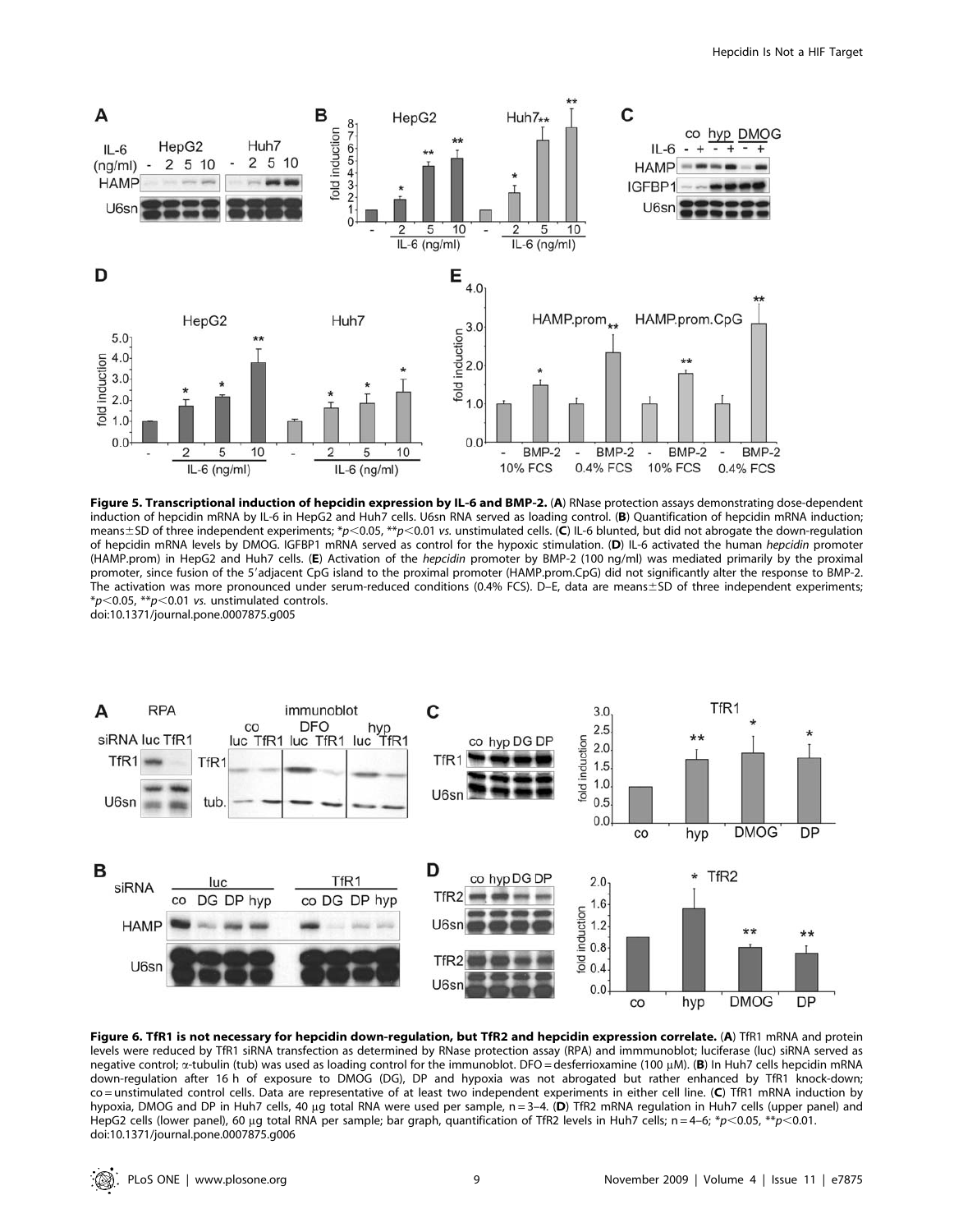

Figure 5. Transcriptional induction of hepcidin expression by IL-6 and BMP-2. (A) RNase protection assays demonstrating dose-dependent induction of hepcidin mRNA by IL-6 in HepG2 and Huh7 cells. U6sn RNA served as loading control. (B) Quantification of hepcidin mRNA induction; means  $\pm$  SD of three independent experiments; \*p<0.05, \*\*p<0.01 vs. unstimulated cells. ( $\overline{C}$ ) IL-6 blunted, but did not abrogate the down-regulation of hepcidin mRNA levels by DMOG. IGFBP1 mRNA served as control for the hypoxic stimulation. (D) IL-6 activated the human hepcidin promoter (HAMP.prom) in HepG2 and Huh7 cells. (E) Activation of the hepcidin promoter by BMP-2 (100 ng/ml) was mediated primarily by the proximal promoter, since fusion of the 5'adjacent CpG island to the proximal promoter (HAMP.prom.CpG) did not significantly alter the response to BMP-2. The activation was more pronounced under serum-reduced conditions (0.4% FCS). D–E, data are means±SD of three independent experiments;  $*p$ <0.05,  $*p$ <0.01 vs. unstimulated controls. doi:10.1371/journal.pone.0007875.g005



Figure 6. TfR1 is not necessary for hepcidin down-regulation, but TfR2 and hepcidin expression correlate. (A) TfR1 mRNA and protein levels were reduced by TfR1 siRNA transfection as determined by RNase protection assay (RPA) and immmunoblot; luciferase (luc) siRNA served as negative control; x-tubulin (tub) was used as loading control for the immunoblot. DFO = desferrioxamine (100 µM). (B) In Huh7 cells hepcidin mRNA down-regulation after 16 h of exposure to DMOG (DG), DP and hypoxia was not abrogated but rather enhanced by TfR1 knock-down; co = unstimulated control cells. Data are representative of at least two independent experiments in either cell line. (C) TfR1 mRNA induction by hypoxia, DMOG and DP in Huh7 cells, 40 µg total RNA were used per sample, n = 3-4. (D) TfR2 mRNA regulation in Huh7 cells (upper panel) and HepG2 cells (lower panel), 60 µg total RNA per sample; bar graph, quantification of TfR2 levels in Huh7 cells; n = 4-6; \*p<0.05, \*\*p<0.01. doi:10.1371/journal.pone.0007875.g006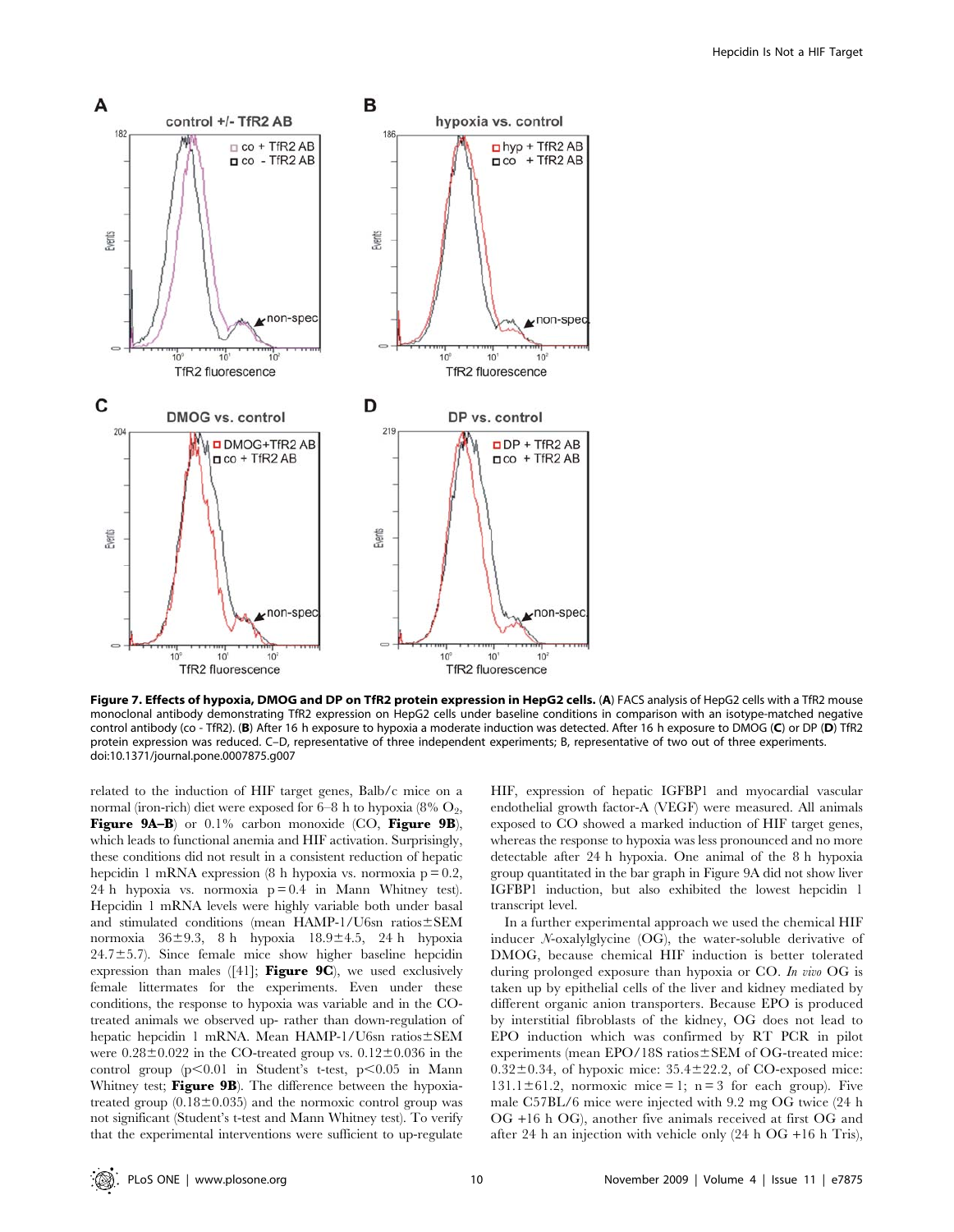

Figure 7. Effects of hypoxia, DMOG and DP on TfR2 protein expression in HepG2 cells. (A) FACS analysis of HepG2 cells with a TfR2 mouse monoclonal antibody demonstrating TfR2 expression on HepG2 cells under baseline conditions in comparison with an isotype-matched negative control antibody (co - TfR2). (B) After 16 h exposure to hypoxia a moderate induction was detected. After 16 h exposure to DMOG (C) or DP (D) TfR2 protein expression was reduced. C–D, representative of three independent experiments; B, representative of two out of three experiments. doi:10.1371/journal.pone.0007875.g007

related to the induction of HIF target genes, Balb/c mice on a normal (iron-rich) diet were exposed for  $6-8$  h to hypoxia (8%  $\mathrm{O}_2$ , Figure 9A–B) or 0.1% carbon monoxide (CO, Figure 9B), which leads to functional anemia and HIF activation. Surprisingly, these conditions did not result in a consistent reduction of hepatic hepcidin 1 mRNA expression (8 h hypoxia vs. normoxia  $p = 0.2$ , 24 h hypoxia vs. normoxia  $p = 0.4$  in Mann Whitney test). Hepcidin 1 mRNA levels were highly variable both under basal and stimulated conditions (mean HAMP-1/U6sn ratios $\pm$ SEM normoxia  $36\pm9.3$ , 8 h hypoxia  $18.9\pm4.5$ , 24 h hypoxia  $24.7\pm5.7$ ). Since female mice show higher baseline hepcidin expression than males  $([41]$ ; Figure 9C), we used exclusively female littermates for the experiments. Even under these conditions, the response to hypoxia was variable and in the COtreated animals we observed up- rather than down-regulation of hepatic hepcidin 1 mRNA. Mean HAMP-1/U6sn ratios±SEM were  $0.28\pm0.022$  in the CO-treated group vs.  $0.12\pm0.036$  in the control group  $(p<0.01$  in Student's t-test,  $p<0.05$  in Mann Whitney test; Figure 9B). The difference between the hypoxiatreated group  $(0.18 \pm 0.035)$  and the normoxic control group was not significant (Student's t-test and Mann Whitney test). To verify that the experimental interventions were sufficient to up-regulate

HIF, expression of hepatic IGFBP1 and myocardial vascular endothelial growth factor-A (VEGF) were measured. All animals exposed to CO showed a marked induction of HIF target genes, whereas the response to hypoxia was less pronounced and no more detectable after 24 h hypoxia. One animal of the 8 h hypoxia group quantitated in the bar graph in Figure 9A did not show liver IGFBP1 induction, but also exhibited the lowest hepcidin 1 transcript level.

In a further experimental approach we used the chemical HIF inducer N-oxalylglycine (OG), the water-soluble derivative of DMOG, because chemical HIF induction is better tolerated during prolonged exposure than hypoxia or CO. In vivo OG is taken up by epithelial cells of the liver and kidney mediated by different organic anion transporters. Because EPO is produced by interstitial fibroblasts of the kidney, OG does not lead to EPO induction which was confirmed by RT PCR in pilot experiments (mean EPO/18S ratios $\pm$ SEM of OG-treated mice:  $0.32\pm0.34$ , of hypoxic mice:  $35.4\pm22.2$ , of CO-exposed mice: 131.1 $\pm$ 61.2, normoxic mice = 1; n = 3 for each group). Five male C57BL/6 mice were injected with 9.2 mg OG twice (24 h OG +16 h OG), another five animals received at first OG and after 24 h an injection with vehicle only (24 h OG +16 h Tris),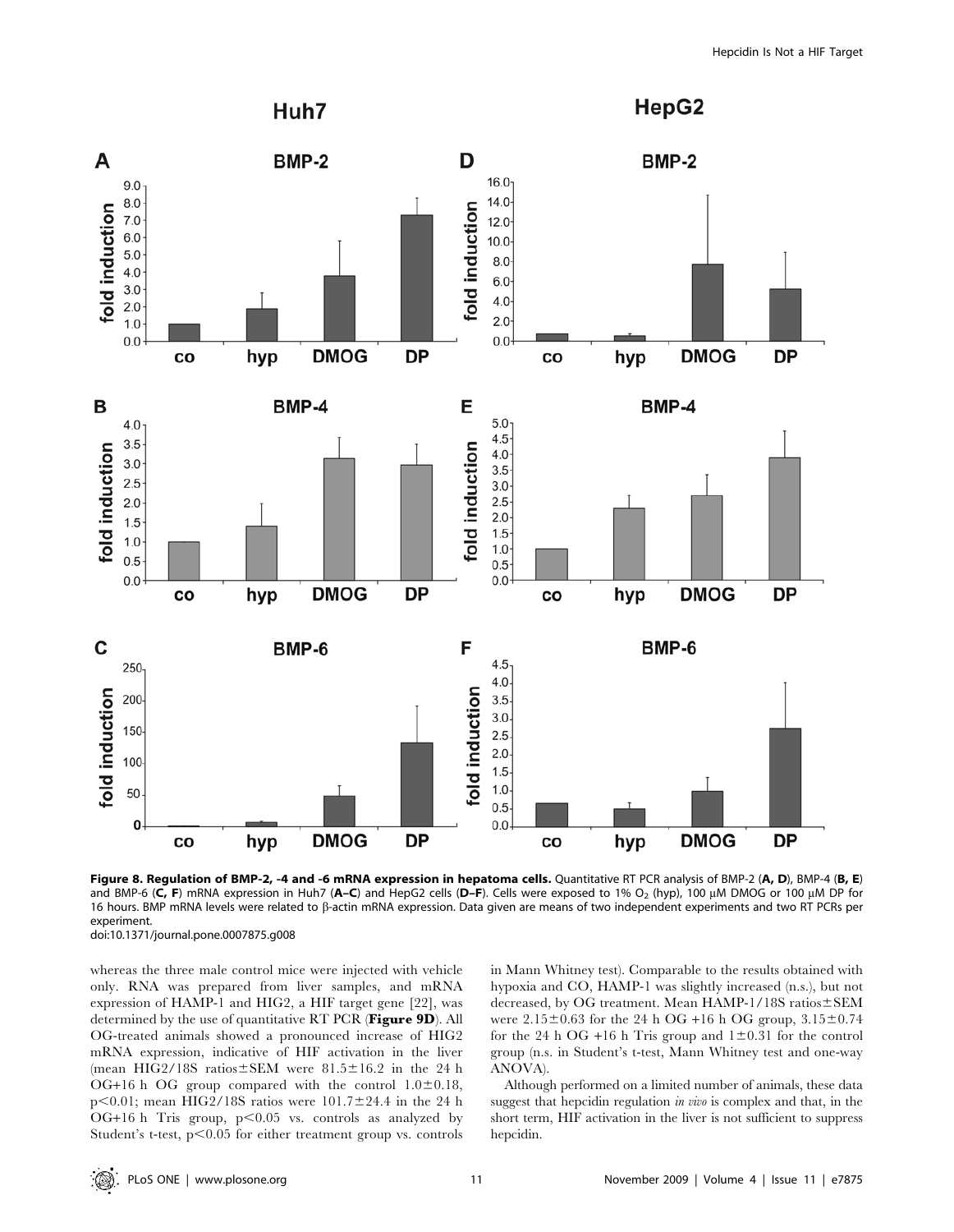

Figure 8. Regulation of BMP-2, -4 and -6 mRNA expression in hepatoma cells. Quantitative RT PCR analysis of BMP-2 (A, D), BMP-4 (B, E) and BMP-6 (C, F) mRNA expression in Huh7 (A–C) and HepG2 cells (D–F). Cells were exposed to 1% O<sub>2</sub> (hyp), 100  $\mu$ M DMOG or 100  $\mu$ M DP for 16 hours. BMP mRNA levels were related to ß-actin mRNA expression. Data given are means of two independent experiments and two RT PCRs per experiment. doi:10.1371/journal.pone.0007875.g008

whereas the three male control mice were injected with vehicle only. RNA was prepared from liver samples, and mRNA expression of HAMP-1 and HIG2, a HIF target gene [22], was determined by the use of quantitative RT PCR (Figure 9D). All OG-treated animals showed a pronounced increase of HIG2 mRNA expression, indicative of HIF activation in the liver (mean HIG2/18S ratios $\pm$ SEM were 81.5 $\pm$ 16.2 in the 24 h OG+16 h OG group compared with the control  $1.0\pm0.18$ , p<0.01; mean HIG2/18S ratios were  $101.7\pm24.4$  in the 24 h OG+16 h Tris group,  $p<0.05$  vs. controls as analyzed by Student's t-test,  $p<0.05$  for either treatment group vs. controls in Mann Whitney test). Comparable to the results obtained with hypoxia and CO, HAMP-1 was slightly increased (n.s.), but not decreased, by OG treatment. Mean HAMP-1/18S ratios $\pm$ SEM were  $2.15\pm0.63$  for the 24 h OG +16 h OG group,  $3.15\pm0.74$ for the 24 h OG +16 h Tris group and  $1\pm0.31$  for the control group (n.s. in Student's t-test, Mann Whitney test and one-way ANOVA).

Although performed on a limited number of animals, these data suggest that hepcidin regulation *in vivo* is complex and that, in the short term, HIF activation in the liver is not sufficient to suppress hepcidin.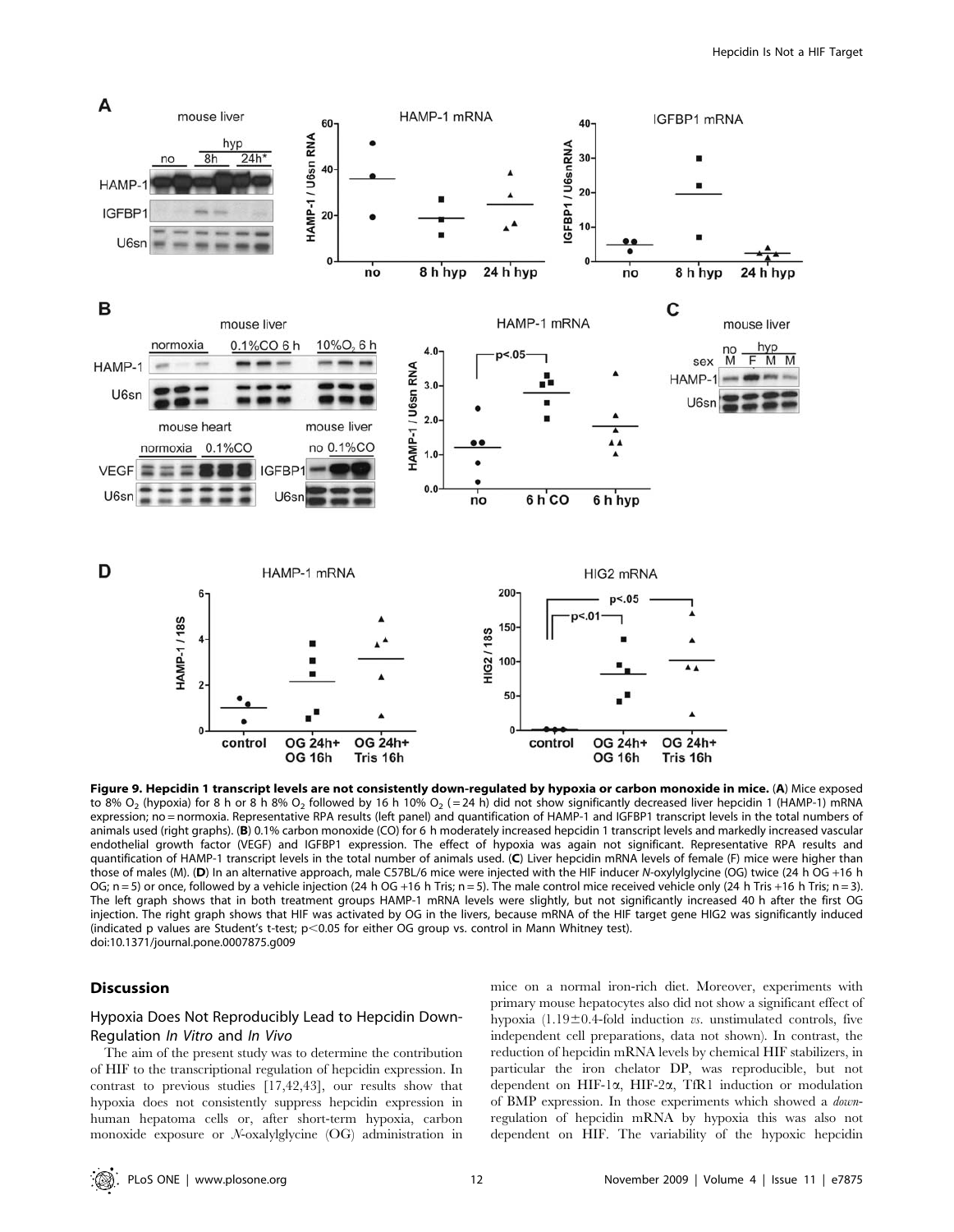

Figure 9. Hepcidin 1 transcript levels are not consistently down-regulated by hypoxia or carbon monoxide in mice. (A) Mice exposed to 8% O<sub>2</sub> (hypoxia) for 8 h or 8 h 8% O<sub>2</sub> followed by 16 h 10% O<sub>2</sub> (= 24 h) did not show significantly decreased liver hepcidin 1 (HAMP-1) mRNA expression; no = normoxia. Representative RPA results (left panel) and quantification of HAMP-1 and IGFBP1 transcript levels in the total numbers of animals used (right graphs). (B) 0.1% carbon monoxide (CO) for 6 h moderately increased hepcidin 1 transcript levels and markedly increased vascular endothelial growth factor (VEGF) and IGFBP1 expression. The effect of hypoxia was again not significant. Representative RPA results and quantification of HAMP-1 transcript levels in the total number of animals used. (C) Liver hepcidin mRNA levels of female (F) mice were higher than those of males (M). (D) In an alternative approach, male C57BL/6 mice were injected with the HIF inducer N-oxylylglycine (OG) twice (24 h OG +16 h OG; n = 5) or once, followed by a vehicle injection (24 h OG +16 h Tris; n = 5). The male control mice received vehicle only (24 h Tris +16 h Tris; n = 3). The left graph shows that in both treatment groups HAMP-1 mRNA levels were slightly, but not significantly increased 40 h after the first OG injection. The right graph shows that HIF was activated by OG in the livers, because mRNA of the HIF target gene HIG2 was significantly induced (indicated p values are Student's t-test;  $p<0.05$  for either OG group vs. control in Mann Whitney test). doi:10.1371/journal.pone.0007875.g009

#### **Discussion**

# Hypoxia Does Not Reproducibly Lead to Hepcidin Down-Regulation In Vitro and In Vivo

The aim of the present study was to determine the contribution of HIF to the transcriptional regulation of hepcidin expression. In contrast to previous studies [17,42,43], our results show that hypoxia does not consistently suppress hepcidin expression in human hepatoma cells or, after short-term hypoxia, carbon monoxide exposure or N-oxalylglycine (OG) administration in mice on a normal iron-rich diet. Moreover, experiments with primary mouse hepatocytes also did not show a significant effect of hypoxia  $(1.19\pm0.4\text{-}$  fold induction vs. unstimulated controls, five independent cell preparations, data not shown). In contrast, the reduction of hepcidin mRNA levels by chemical HIF stabilizers, in particular the iron chelator DP, was reproducible, but not dependent on HIF-1 $\alpha$ , HIF-2 $\alpha$ , TfR1 induction or modulation of BMP expression. In those experiments which showed a downregulation of hepcidin mRNA by hypoxia this was also not dependent on HIF. The variability of the hypoxic hepcidin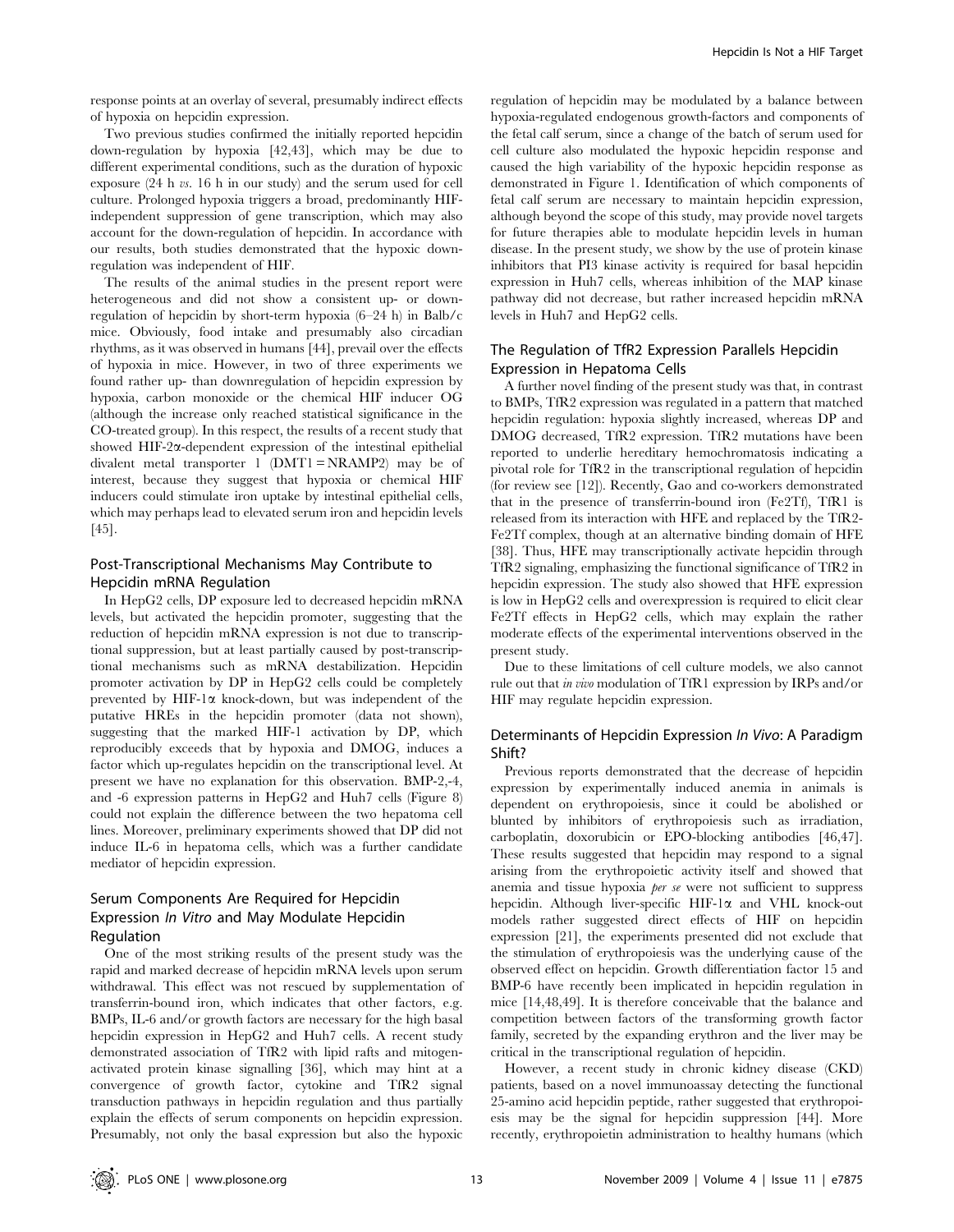response points at an overlay of several, presumably indirect effects of hypoxia on hepcidin expression.

Two previous studies confirmed the initially reported hepcidin down-regulation by hypoxia [42,43], which may be due to different experimental conditions, such as the duration of hypoxic exposure (24 h vs. 16 h in our study) and the serum used for cell culture. Prolonged hypoxia triggers a broad, predominantly HIFindependent suppression of gene transcription, which may also account for the down-regulation of hepcidin. In accordance with our results, both studies demonstrated that the hypoxic downregulation was independent of HIF.

The results of the animal studies in the present report were heterogeneous and did not show a consistent up- or downregulation of hepcidin by short-term hypoxia (6–24 h) in Balb/c mice. Obviously, food intake and presumably also circadian rhythms, as it was observed in humans [44], prevail over the effects of hypoxia in mice. However, in two of three experiments we found rather up- than downregulation of hepcidin expression by hypoxia, carbon monoxide or the chemical HIF inducer OG (although the increase only reached statistical significance in the CO-treated group). In this respect, the results of a recent study that showed HIF-2 $\alpha$ -dependent expression of the intestinal epithelial divalent metal transporter 1 (DMT1 = NRAMP2) may be of interest, because they suggest that hypoxia or chemical HIF inducers could stimulate iron uptake by intestinal epithelial cells, which may perhaps lead to elevated serum iron and hepcidin levels [45].

# Post-Transcriptional Mechanisms May Contribute to Hepcidin mRNA Regulation

In HepG2 cells, DP exposure led to decreased hepcidin mRNA levels, but activated the hepcidin promoter, suggesting that the reduction of hepcidin mRNA expression is not due to transcriptional suppression, but at least partially caused by post-transcriptional mechanisms such as mRNA destabilization. Hepcidin promoter activation by DP in HepG2 cells could be completely prevented by HIF-1 $\alpha$  knock-down, but was independent of the putative HREs in the hepcidin promoter (data not shown), suggesting that the marked HIF-1 activation by DP, which reproducibly exceeds that by hypoxia and DMOG, induces a factor which up-regulates hepcidin on the transcriptional level. At present we have no explanation for this observation. BMP-2,-4, and -6 expression patterns in HepG2 and Huh7 cells (Figure 8) could not explain the difference between the two hepatoma cell lines. Moreover, preliminary experiments showed that DP did not induce IL-6 in hepatoma cells, which was a further candidate mediator of hepcidin expression.

# Serum Components Are Required for Hepcidin Expression In Vitro and May Modulate Hepcidin Regulation

One of the most striking results of the present study was the rapid and marked decrease of hepcidin mRNA levels upon serum withdrawal. This effect was not rescued by supplementation of transferrin-bound iron, which indicates that other factors, e.g. BMPs, IL-6 and/or growth factors are necessary for the high basal hepcidin expression in HepG2 and Huh7 cells. A recent study demonstrated association of TfR2 with lipid rafts and mitogenactivated protein kinase signalling [36], which may hint at a convergence of growth factor, cytokine and TfR2 signal transduction pathways in hepcidin regulation and thus partially explain the effects of serum components on hepcidin expression. Presumably, not only the basal expression but also the hypoxic regulation of hepcidin may be modulated by a balance between hypoxia-regulated endogenous growth-factors and components of the fetal calf serum, since a change of the batch of serum used for cell culture also modulated the hypoxic hepcidin response and caused the high variability of the hypoxic hepcidin response as demonstrated in Figure 1. Identification of which components of fetal calf serum are necessary to maintain hepcidin expression, although beyond the scope of this study, may provide novel targets for future therapies able to modulate hepcidin levels in human disease. In the present study, we show by the use of protein kinase inhibitors that PI3 kinase activity is required for basal hepcidin expression in Huh7 cells, whereas inhibition of the MAP kinase pathway did not decrease, but rather increased hepcidin mRNA levels in Huh7 and HepG2 cells.

# The Regulation of TfR2 Expression Parallels Hepcidin Expression in Hepatoma Cells

A further novel finding of the present study was that, in contrast to BMPs, TfR2 expression was regulated in a pattern that matched hepcidin regulation: hypoxia slightly increased, whereas DP and DMOG decreased, TfR2 expression. TfR2 mutations have been reported to underlie hereditary hemochromatosis indicating a pivotal role for TfR2 in the transcriptional regulation of hepcidin (for review see [12]). Recently, Gao and co-workers demonstrated that in the presence of transferrin-bound iron (Fe2Tf), TfR1 is released from its interaction with HFE and replaced by the TfR2- Fe2Tf complex, though at an alternative binding domain of HFE [38]. Thus, HFE may transcriptionally activate hepcidin through TfR2 signaling, emphasizing the functional significance of TfR2 in hepcidin expression. The study also showed that HFE expression is low in HepG2 cells and overexpression is required to elicit clear Fe2Tf effects in HepG2 cells, which may explain the rather moderate effects of the experimental interventions observed in the present study.

Due to these limitations of cell culture models, we also cannot rule out that in vivo modulation of TfR1 expression by IRPs and/or HIF may regulate hepcidin expression.

# Determinants of Hepcidin Expression In Vivo: A Paradigm Shift?

Previous reports demonstrated that the decrease of hepcidin expression by experimentally induced anemia in animals is dependent on erythropoiesis, since it could be abolished or blunted by inhibitors of erythropoiesis such as irradiation, carboplatin, doxorubicin or EPO-blocking antibodies [46,47]. These results suggested that hepcidin may respond to a signal arising from the erythropoietic activity itself and showed that anemia and tissue hypoxia per se were not sufficient to suppress hepcidin. Although liver-specific HIF-1 $\alpha$  and VHL knock-out models rather suggested direct effects of HIF on hepcidin expression [21], the experiments presented did not exclude that the stimulation of erythropoiesis was the underlying cause of the observed effect on hepcidin. Growth differentiation factor 15 and BMP-6 have recently been implicated in hepcidin regulation in mice [14,48,49]. It is therefore conceivable that the balance and competition between factors of the transforming growth factor family, secreted by the expanding erythron and the liver may be critical in the transcriptional regulation of hepcidin.

However, a recent study in chronic kidney disease (CKD) patients, based on a novel immunoassay detecting the functional 25-amino acid hepcidin peptide, rather suggested that erythropoiesis may be the signal for hepcidin suppression [44]. More recently, erythropoietin administration to healthy humans (which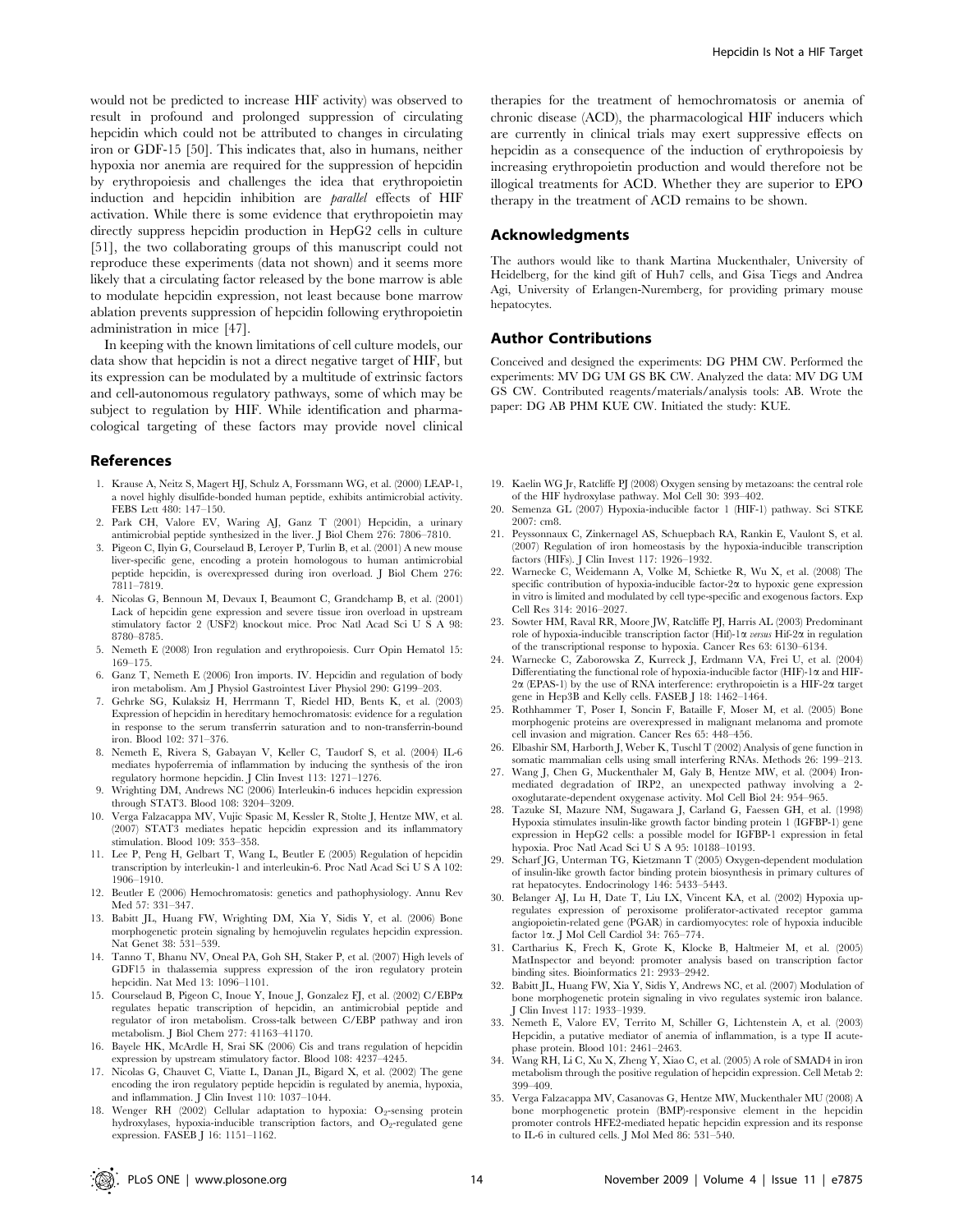would not be predicted to increase HIF activity) was observed to result in profound and prolonged suppression of circulating hepcidin which could not be attributed to changes in circulating iron or GDF-15 [50]. This indicates that, also in humans, neither hypoxia nor anemia are required for the suppression of hepcidin by erythropoiesis and challenges the idea that erythropoietin induction and hepcidin inhibition are parallel effects of HIF activation. While there is some evidence that erythropoietin may directly suppress hepcidin production in HepG2 cells in culture [51], the two collaborating groups of this manuscript could not reproduce these experiments (data not shown) and it seems more likely that a circulating factor released by the bone marrow is able to modulate hepcidin expression, not least because bone marrow ablation prevents suppression of hepcidin following erythropoietin administration in mice [47].

In keeping with the known limitations of cell culture models, our data show that hepcidin is not a direct negative target of HIF, but its expression can be modulated by a multitude of extrinsic factors and cell-autonomous regulatory pathways, some of which may be subject to regulation by HIF. While identification and pharmacological targeting of these factors may provide novel clinical

#### References

- 1. Krause A, Neitz S, Magert HJ, Schulz A, Forssmann WG, et al. (2000) LEAP-1, a novel highly disulfide-bonded human peptide, exhibits antimicrobial activity. FEBS Lett 480: 147–150.
- 2. Park CH, Valore EV, Waring AJ, Ganz T (2001) Hepcidin, a urinary antimicrobial peptide synthesized in the liver. J Biol Chem 276: 7806–7810.
- 3. Pigeon C, Ilyin G, Courselaud B, Leroyer P, Turlin B, et al. (2001) A new mouse liver-specific gene, encoding a protein homologous to human antimicrobial peptide hepcidin, is overexpressed during iron overload. J Biol Chem 276: 7811–7819.
- 4. Nicolas G, Bennoun M, Devaux I, Beaumont C, Grandchamp B, et al. (2001) Lack of hepcidin gene expression and severe tissue iron overload in upstream stimulatory factor 2 (USF2) knockout mice. Proc Natl Acad Sci U S A 98: 8780–8785.
- 5. Nemeth E (2008) Iron regulation and erythropoiesis. Curr Opin Hematol 15: 169–175.
- 6. Ganz T, Nemeth E (2006) Iron imports. IV. Hepcidin and regulation of body iron metabolism. Am J Physiol Gastrointest Liver Physiol 290: G199–203.
- 7. Gehrke SG, Kulaksiz H, Herrmann T, Riedel HD, Bents K, et al. (2003) Expression of hepcidin in hereditary hemochromatosis: evidence for a regulation in response to the serum transferrin saturation and to non-transferrin-bound iron. Blood 102: 371–376.
- 8. Nemeth E, Rivera S, Gabayan V, Keller C, Taudorf S, et al. (2004) IL-6 mediates hypoferremia of inflammation by inducing the synthesis of the iron regulatory hormone hepcidin. J Clin Invest 113: 1271–1276.
- 9. Wrighting DM, Andrews NC (2006) Interleukin-6 induces hepcidin expression through STAT3. Blood 108: 3204–3209.
- 10. Verga Falzacappa MV, Vujic Spasic M, Kessler R, Stolte J, Hentze MW, et al. (2007) STAT3 mediates hepatic hepcidin expression and its inflammatory stimulation. Blood 109: 353–358.
- 11. Lee P, Peng H, Gelbart T, Wang L, Beutler E (2005) Regulation of hepcidin transcription by interleukin-1 and interleukin-6. Proc Natl Acad Sci U S A 102: 1906–1910.
- 12. Beutler E (2006) Hemochromatosis: genetics and pathophysiology. Annu Rev Med 57: 331–347.
- 13. Babitt JL, Huang FW, Wrighting DM, Xia Y, Sidis Y, et al. (2006) Bone morphogenetic protein signaling by hemojuvelin regulates hepcidin expression. Nat Genet 38: 531–539.
- 14. Tanno T, Bhanu NV, Oneal PA, Goh SH, Staker P, et al. (2007) High levels of GDF15 in thalassemia suppress expression of the iron regulatory protein hepcidin. Nat Med 13: 1096–1101.
- 15. Courselaud B, Pigeon C, Inoue Y, Inoue J, Gonzalez FJ, et al. (2002) C/EBPa regulates hepatic transcription of hepcidin, an antimicrobial peptide and regulator of iron metabolism. Cross-talk between C/EBP pathway and iron metabolism. J Biol Chem 277: 41163–41170.
- 16. Bayele HK, McArdle H, Srai SK (2006) Cis and trans regulation of hepcidin expression by upstream stimulatory factor. Blood 108: 4237–4245.
- 17. Nicolas G, Chauvet C, Viatte L, Danan JL, Bigard X, et al. (2002) The gene encoding the iron regulatory peptide hepcidin is regulated by anemia, hypoxia, and inflammation. J Clin Invest 110: 1037–1044.
- 18. Wenger RH (2002) Cellular adaptation to hypoxia:  $O_2$ -sensing protein hydroxylases, hypoxia-inducible transcription factors, and  $O_2$ -regulated gene expression. FASEB J 16: 1151–1162.

therapies for the treatment of hemochromatosis or anemia of chronic disease (ACD), the pharmacological HIF inducers which are currently in clinical trials may exert suppressive effects on hepcidin as a consequence of the induction of erythropoiesis by increasing erythropoietin production and would therefore not be illogical treatments for ACD. Whether they are superior to EPO therapy in the treatment of ACD remains to be shown.

### Acknowledgments

The authors would like to thank Martina Muckenthaler, University of Heidelberg, for the kind gift of Huh7 cells, and Gisa Tiegs and Andrea Agi, University of Erlangen-Nuremberg, for providing primary mouse hepatocytes.

#### Author Contributions

Conceived and designed the experiments: DG PHM CW. Performed the experiments: MV DG UM GS BK CW. Analyzed the data: MV DG UM GS CW. Contributed reagents/materials/analysis tools: AB. Wrote the paper: DG AB PHM KUE CW. Initiated the study: KUE.

- 19. Kaelin WG Jr, Ratcliffe PJ (2008) Oxygen sensing by metazoans: the central role of the HIF hydroxylase pathway. Mol Cell 30: 393–402.
- 20. Semenza GL (2007) Hypoxia-inducible factor 1 (HIF-1) pathway. Sci STKE 2007: cm8.
- 21. Peyssonnaux C, Zinkernagel AS, Schuepbach RA, Rankin E, Vaulont S, et al. (2007) Regulation of iron homeostasis by the hypoxia-inducible transcription factors (HIFs). J Clin Invest 117: 1926–1932.
- 22. Warnecke C, Weidemann A, Volke M, Schietke R, Wu X, et al. (2008) The specific contribution of hypoxia-inducible factor-2 $\alpha$  to hypoxic gene expression in vitro is limited and modulated by cell type-specific and exogenous factors. Exp Cell Res 314: 2016–2027.
- 23. Sowter HM, Raval RR, Moore JW, Ratcliffe PJ, Harris AL (2003) Predominant role of hypoxia-inducible transcription factor (Hif)-1 $\alpha$  versus Hif-2 $\alpha$  in regulation of the transcriptional response to hypoxia. Cancer Res 63: 6130–6134.
- 24. Warnecke C, Zaborowska Z, Kurreck J, Erdmann VA, Frei U, et al. (2004) Differentiating the functional role of hypoxia-inducible factor (HIF)-1 $\alpha$  and HIF- $2\alpha$  (EPAS-1) by the use of RNA interference: erythropoietin is a HIF-2 $\alpha$  target gene in Hep3B and Kelly cells. FASEB J 18: 1462–1464.
- 25. Rothhammer T, Poser I, Soncin F, Bataille F, Moser M, et al. (2005) Bone morphogenic proteins are overexpressed in malignant melanoma and promote cell invasion and migration. Cancer Res 65: 448–456.
- 26. Elbashir SM, Harborth J, Weber K, Tuschl T (2002) Analysis of gene function in somatic mammalian cells using small interfering RNAs. Methods 26: 199–213.
- 27. Wang J, Chen G, Muckenthaler M, Galy B, Hentze MW, et al. (2004) Ironmediated degradation of IRP2, an unexpected pathway involving a 2 oxoglutarate-dependent oxygenase activity. Mol Cell Biol 24: 954–965.
- 28. Tazuke SI, Mazure NM, Sugawara J, Carland G, Faessen GH, et al. (1998) Hypoxia stimulates insulin-like growth factor binding protein 1 (IGFBP-1) gene expression in HepG2 cells: a possible model for IGFBP-1 expression in fetal hypoxia. Proc Natl Acad Sci U S A 95: 10188–10193.
- 29. Scharf JG, Unterman TG, Kietzmann T (2005) Oxygen-dependent modulation of insulin-like growth factor binding protein biosynthesis in primary cultures of rat hepatocytes. Endocrinology 146: 5433–5443.
- 30. Belanger AJ, Lu H, Date T, Liu LX, Vincent KA, et al. (2002) Hypoxia upregulates expression of peroxisome proliferator-activated receptor gamma angiopoietin-related gene (PGAR) in cardiomyocytes: role of hypoxia inducible factor 1a. J Mol Cell Cardiol 34: 765–774.
- 31. Cartharius K, Frech K, Grote K, Klocke B, Haltmeier M, et al. (2005) MatInspector and beyond: promoter analysis based on transcription factor binding sites. Bioinformatics 21: 2933–2942.
- 32. Babitt JL, Huang FW, Xia Y, Sidis Y, Andrews NC, et al. (2007) Modulation of bone morphogenetic protein signaling in vivo regulates systemic iron balance. J Clin Invest 117: 1933–1939.
- 33. Nemeth E, Valore EV, Territo M, Schiller G, Lichtenstein A, et al. (2003) Hepcidin, a putative mediator of anemia of inflammation, is a type II acutephase protein. Blood 101: 2461–2463.
- 34. Wang RH, Li C, Xu X, Zheng Y, Xiao C, et al. (2005) A role of SMAD4 in iron metabolism through the positive regulation of hepcidin expression. Cell Metab 2: 399–409.
- 35. Verga Falzacappa MV, Casanovas G, Hentze MW, Muckenthaler MU (2008) A bone morphogenetic protein (BMP)-responsive element in the hepcidin promoter controls HFE2-mediated hepatic hepcidin expression and its response to IL-6 in cultured cells. J Mol Med 86: 531–540.